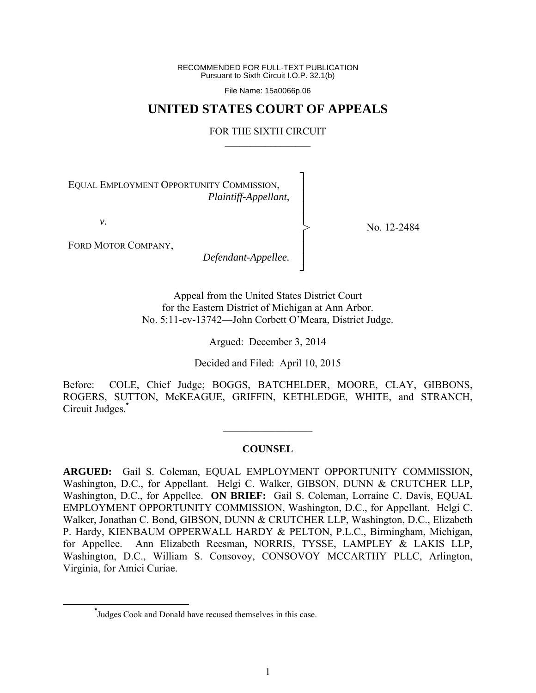RECOMMENDED FOR FULL-TEXT PUBLICATION Pursuant to Sixth Circuit I.O.P. 32.1(b)

File Name: 15a0066p.06

## **UNITED STATES COURT OF APPEALS**

#### FOR THE SIXTH CIRCUIT  $\mathcal{L}_\text{max}$

┐ │ │ │ │ │ │ │ ┘

>

EQUAL EMPLOYMENT OPPORTUNITY COMMISSION, *Plaintiff-Appellant*,

*v.*

FORD MOTOR COMPANY,

*Defendant-Appellee.*

No. 12-2484

Appeal from the United States District Court for the Eastern District of Michigan at Ann Arbor. No. 5:11-cv-13742—John Corbett O'Meara, District Judge.

Argued: December 3, 2014

Decided and Filed: April 10, 2015

Before: COLE, Chief Judge; BOGGS, BATCHELDER, MOORE, CLAY, GIBBONS, ROGERS, SUTTON, McKEAGUE, GRIFFIN, KETHLEDGE, WHITE, and STRANCH, Circuit Judges.**\***

#### **COUNSEL**

 $\frac{1}{2}$ 

**ARGUED:** Gail S. Coleman, EQUAL EMPLOYMENT OPPORTUNITY COMMISSION, Washington, D.C., for Appellant. Helgi C. Walker, GIBSON, DUNN & CRUTCHER LLP, Washington, D.C., for Appellee. **ON BRIEF:** Gail S. Coleman, Lorraine C. Davis, EQUAL EMPLOYMENT OPPORTUNITY COMMISSION, Washington, D.C., for Appellant. Helgi C. Walker, Jonathan C. Bond, GIBSON, DUNN & CRUTCHER LLP, Washington, D.C., Elizabeth P. Hardy, KIENBAUM OPPERWALL HARDY & PELTON, P.L.C., Birmingham, Michigan, for Appellee. Ann Elizabeth Reesman, NORRIS, TYSSE, LAMPLEY & LAKIS LLP, Washington, D.C., William S. Consovoy, CONSOVOY MCCARTHY PLLC, Arlington, Virginia, for Amici Curiae.

**\*** Judges Cook and Donald have recused themselves in this case.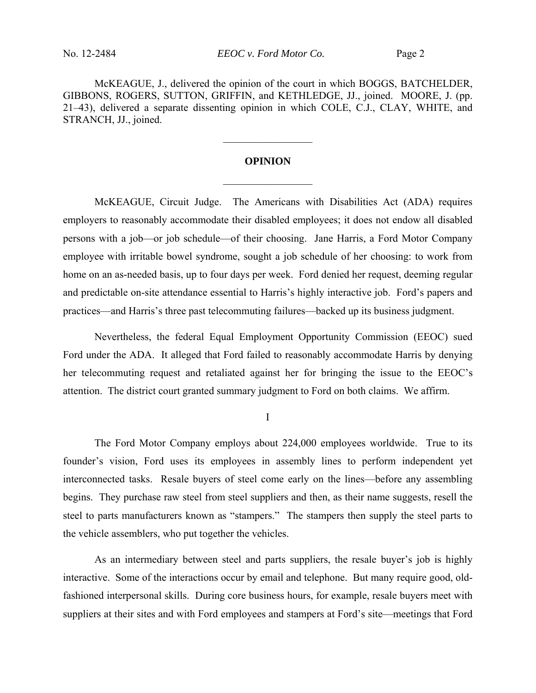McKEAGUE, J., delivered the opinion of the court in which BOGGS, BATCHELDER, GIBBONS, ROGERS, SUTTON, GRIFFIN, and KETHLEDGE, JJ., joined. MOORE, J. (pp. 21–43), delivered a separate dissenting opinion in which COLE, C.J., CLAY, WHITE, and STRANCH, JJ., joined.

# **OPINION**  $\frac{1}{2}$

 $\mathcal{L}_\text{max}$ 

McKEAGUE, Circuit Judge. The Americans with Disabilities Act (ADA) requires employers to reasonably accommodate their disabled employees; it does not endow all disabled persons with a job—or job schedule—of their choosing. Jane Harris, a Ford Motor Company employee with irritable bowel syndrome, sought a job schedule of her choosing: to work from home on an as-needed basis, up to four days per week. Ford denied her request, deeming regular and predictable on-site attendance essential to Harris's highly interactive job. Ford's papers and practices—and Harris's three past telecommuting failures—backed up its business judgment.

Nevertheless, the federal Equal Employment Opportunity Commission (EEOC) sued Ford under the ADA. It alleged that Ford failed to reasonably accommodate Harris by denying her telecommuting request and retaliated against her for bringing the issue to the EEOC's attention. The district court granted summary judgment to Ford on both claims. We affirm.

I

The Ford Motor Company employs about 224,000 employees worldwide. True to its founder's vision, Ford uses its employees in assembly lines to perform independent yet interconnected tasks. Resale buyers of steel come early on the lines—before any assembling begins. They purchase raw steel from steel suppliers and then, as their name suggests, resell the steel to parts manufacturers known as "stampers." The stampers then supply the steel parts to the vehicle assemblers, who put together the vehicles.

As an intermediary between steel and parts suppliers, the resale buyer's job is highly interactive. Some of the interactions occur by email and telephone. But many require good, oldfashioned interpersonal skills. During core business hours, for example, resale buyers meet with suppliers at their sites and with Ford employees and stampers at Ford's site—meetings that Ford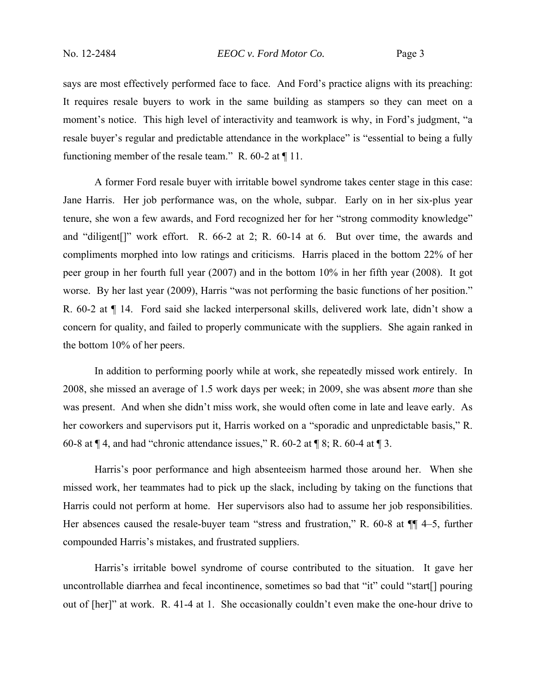says are most effectively performed face to face. And Ford's practice aligns with its preaching: It requires resale buyers to work in the same building as stampers so they can meet on a moment's notice. This high level of interactivity and teamwork is why, in Ford's judgment, "a resale buyer's regular and predictable attendance in the workplace" is "essential to being a fully functioning member of the resale team." R. 60-2 at  $\P$  11.

A former Ford resale buyer with irritable bowel syndrome takes center stage in this case: Jane Harris. Her job performance was, on the whole, subpar. Early on in her six-plus year tenure, she won a few awards, and Ford recognized her for her "strong commodity knowledge" and "diligent[]" work effort. R. 66-2 at 2; R. 60-14 at 6. But over time, the awards and compliments morphed into low ratings and criticisms. Harris placed in the bottom 22% of her peer group in her fourth full year (2007) and in the bottom 10% in her fifth year (2008). It got worse. By her last year (2009), Harris "was not performing the basic functions of her position." R. 60-2 at ¶ 14. Ford said she lacked interpersonal skills, delivered work late, didn't show a concern for quality, and failed to properly communicate with the suppliers. She again ranked in the bottom 10% of her peers.

In addition to performing poorly while at work, she repeatedly missed work entirely. In 2008, she missed an average of 1.5 work days per week; in 2009, she was absent *more* than she was present. And when she didn't miss work, she would often come in late and leave early. As her coworkers and supervisors put it, Harris worked on a "sporadic and unpredictable basis," R. 60-8 at  $\P$  4, and had "chronic attendance issues," R. 60-2 at  $\P$  8; R. 60-4 at  $\P$  3.

Harris's poor performance and high absenteeism harmed those around her. When she missed work, her teammates had to pick up the slack, including by taking on the functions that Harris could not perform at home. Her supervisors also had to assume her job responsibilities. Her absences caused the resale-buyer team "stress and frustration," R. 60-8 at  $\P$  4–5, further compounded Harris's mistakes, and frustrated suppliers.

Harris's irritable bowel syndrome of course contributed to the situation. It gave her uncontrollable diarrhea and fecal incontinence, sometimes so bad that "it" could "start[] pouring out of [her]" at work. R. 41-4 at 1. She occasionally couldn't even make the one-hour drive to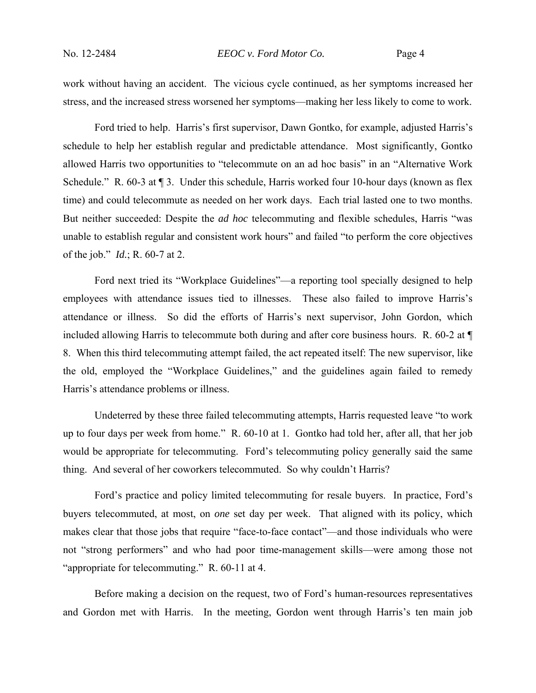work without having an accident. The vicious cycle continued, as her symptoms increased her stress, and the increased stress worsened her symptoms—making her less likely to come to work.

Ford tried to help. Harris's first supervisor, Dawn Gontko, for example, adjusted Harris's schedule to help her establish regular and predictable attendance. Most significantly, Gontko allowed Harris two opportunities to "telecommute on an ad hoc basis" in an "Alternative Work Schedule." R. 60-3 at  $\P$  3. Under this schedule, Harris worked four 10-hour days (known as flex time) and could telecommute as needed on her work days. Each trial lasted one to two months. But neither succeeded: Despite the *ad hoc* telecommuting and flexible schedules, Harris "was unable to establish regular and consistent work hours" and failed "to perform the core objectives of the job." *Id.*; R. 60-7 at 2.

Ford next tried its "Workplace Guidelines"—a reporting tool specially designed to help employees with attendance issues tied to illnesses. These also failed to improve Harris's attendance or illness. So did the efforts of Harris's next supervisor, John Gordon, which included allowing Harris to telecommute both during and after core business hours. R. 60-2 at ¶ 8. When this third telecommuting attempt failed, the act repeated itself: The new supervisor, like the old, employed the "Workplace Guidelines," and the guidelines again failed to remedy Harris's attendance problems or illness.

Undeterred by these three failed telecommuting attempts, Harris requested leave "to work up to four days per week from home." R. 60-10 at 1. Gontko had told her, after all, that her job would be appropriate for telecommuting. Ford's telecommuting policy generally said the same thing. And several of her coworkers telecommuted. So why couldn't Harris?

Ford's practice and policy limited telecommuting for resale buyers. In practice, Ford's buyers telecommuted, at most, on *one* set day per week. That aligned with its policy, which makes clear that those jobs that require "face-to-face contact"—and those individuals who were not "strong performers" and who had poor time-management skills—were among those not "appropriate for telecommuting." R. 60-11 at 4.

Before making a decision on the request, two of Ford's human-resources representatives and Gordon met with Harris. In the meeting, Gordon went through Harris's ten main job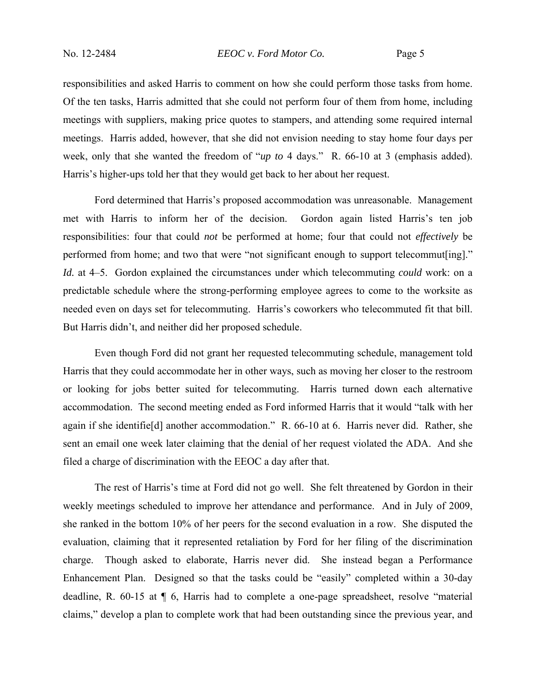responsibilities and asked Harris to comment on how she could perform those tasks from home. Of the ten tasks, Harris admitted that she could not perform four of them from home, including meetings with suppliers, making price quotes to stampers, and attending some required internal meetings. Harris added, however, that she did not envision needing to stay home four days per week, only that she wanted the freedom of "*up to* 4 days." R. 66-10 at 3 (emphasis added). Harris's higher-ups told her that they would get back to her about her request.

Ford determined that Harris's proposed accommodation was unreasonable. Management met with Harris to inform her of the decision. Gordon again listed Harris's ten job responsibilities: four that could *not* be performed at home; four that could not *effectively* be performed from home; and two that were "not significant enough to support telecommut[ing]." *Id.* at 4–5. Gordon explained the circumstances under which telecommuting *could* work: on a predictable schedule where the strong-performing employee agrees to come to the worksite as needed even on days set for telecommuting. Harris's coworkers who telecommuted fit that bill. But Harris didn't, and neither did her proposed schedule.

Even though Ford did not grant her requested telecommuting schedule, management told Harris that they could accommodate her in other ways, such as moving her closer to the restroom or looking for jobs better suited for telecommuting. Harris turned down each alternative accommodation. The second meeting ended as Ford informed Harris that it would "talk with her again if she identifie[d] another accommodation." R. 66-10 at 6. Harris never did. Rather, she sent an email one week later claiming that the denial of her request violated the ADA. And she filed a charge of discrimination with the EEOC a day after that.

The rest of Harris's time at Ford did not go well. She felt threatened by Gordon in their weekly meetings scheduled to improve her attendance and performance. And in July of 2009, she ranked in the bottom 10% of her peers for the second evaluation in a row. She disputed the evaluation, claiming that it represented retaliation by Ford for her filing of the discrimination charge. Though asked to elaborate, Harris never did. She instead began a Performance Enhancement Plan. Designed so that the tasks could be "easily" completed within a 30-day deadline, R. 60-15 at ¶ 6, Harris had to complete a one-page spreadsheet, resolve "material claims," develop a plan to complete work that had been outstanding since the previous year, and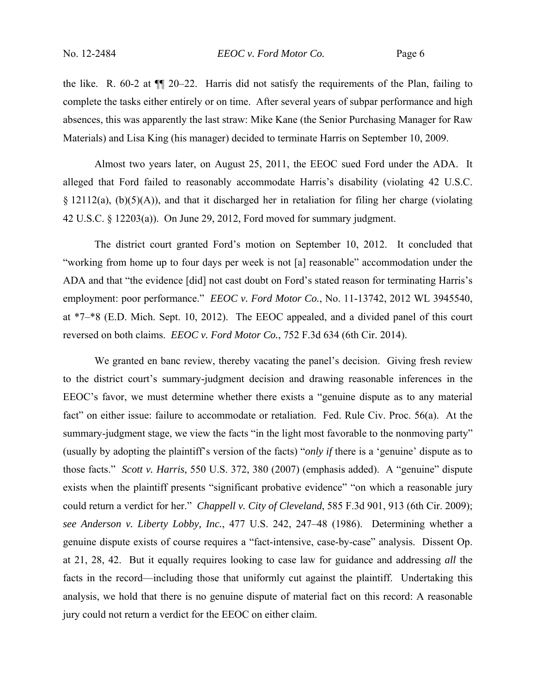the like. R. 60-2 at ¶¶ 20–22. Harris did not satisfy the requirements of the Plan, failing to complete the tasks either entirely or on time. After several years of subpar performance and high absences, this was apparently the last straw: Mike Kane (the Senior Purchasing Manager for Raw Materials) and Lisa King (his manager) decided to terminate Harris on September 10, 2009.

Almost two years later, on August 25, 2011, the EEOC sued Ford under the ADA. It alleged that Ford failed to reasonably accommodate Harris's disability (violating 42 U.S.C. § 12112(a), (b)(5)(A)), and that it discharged her in retaliation for filing her charge (violating 42 U.S.C. § 12203(a)). On June 29, 2012, Ford moved for summary judgment.

The district court granted Ford's motion on September 10, 2012. It concluded that "working from home up to four days per week is not [a] reasonable" accommodation under the ADA and that "the evidence [did] not cast doubt on Ford's stated reason for terminating Harris's employment: poor performance." *EEOC v. Ford Motor Co.*, No. 11-13742, 2012 WL 3945540, at \*7–\*8 (E.D. Mich. Sept. 10, 2012). The EEOC appealed, and a divided panel of this court reversed on both claims. *EEOC v. Ford Motor Co.*, 752 F.3d 634 (6th Cir. 2014).

We granted en banc review, thereby vacating the panel's decision. Giving fresh review to the district court's summary-judgment decision and drawing reasonable inferences in the EEOC's favor, we must determine whether there exists a "genuine dispute as to any material fact" on either issue: failure to accommodate or retaliation. Fed. Rule Civ. Proc. 56(a). At the summary-judgment stage, we view the facts "in the light most favorable to the nonmoving party" (usually by adopting the plaintiff's version of the facts) "*only if* there is a 'genuine' dispute as to those facts." *Scott v. Harris*, 550 U.S. 372, 380 (2007) (emphasis added). A "genuine" dispute exists when the plaintiff presents "significant probative evidence" "on which a reasonable jury could return a verdict for her." *Chappell v. City of Cleveland*, 585 F.3d 901, 913 (6th Cir. 2009); *see Anderson v. Liberty Lobby, Inc.*, 477 U.S. 242, 247–48 (1986). Determining whether a genuine dispute exists of course requires a "fact-intensive, case-by-case" analysis. Dissent Op. at 21, 28, 42. But it equally requires looking to case law for guidance and addressing *all* the facts in the record—including those that uniformly cut against the plaintiff. Undertaking this analysis, we hold that there is no genuine dispute of material fact on this record: A reasonable jury could not return a verdict for the EEOC on either claim.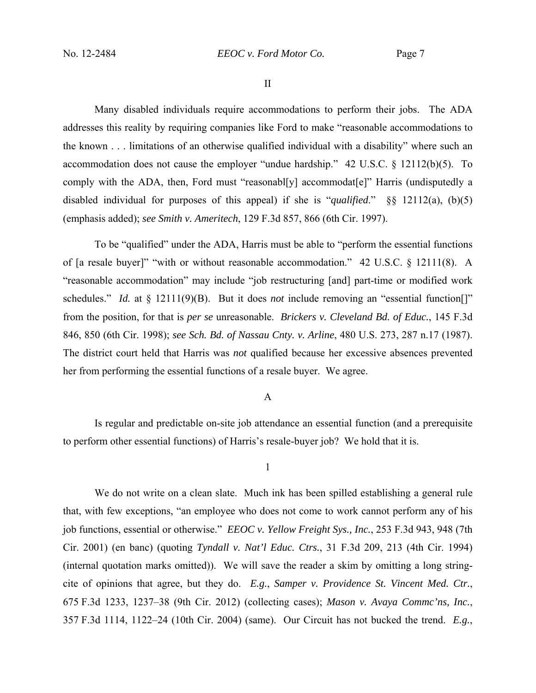II

Many disabled individuals require accommodations to perform their jobs. The ADA addresses this reality by requiring companies like Ford to make "reasonable accommodations to the known . . . limitations of an otherwise qualified individual with a disability" where such an accommodation does not cause the employer "undue hardship." 42 U.S.C. § 12112(b)(5). To comply with the ADA, then, Ford must "reasonabl[y] accommodat[e]" Harris (undisputedly a disabled individual for purposes of this appeal) if she is "*qualified*." §§ 12112(a), (b)(5) (emphasis added); *see Smith v. Ameritech*, 129 F.3d 857, 866 (6th Cir. 1997).

To be "qualified" under the ADA, Harris must be able to "perform the essential functions of [a resale buyer]" "with or without reasonable accommodation." 42 U.S.C. § 12111(8). A "reasonable accommodation" may include "job restructuring [and] part-time or modified work schedules." *Id.* at § 12111(9)(B). But it does *not* include removing an "essential function<sup>[1]"</sup> from the position, for that is *per se* unreasonable. *Brickers v. Cleveland Bd. of Educ.*, 145 F.3d 846, 850 (6th Cir. 1998); *see Sch. Bd. of Nassau Cnty. v. Arline*, 480 U.S. 273, 287 n.17 (1987). The district court held that Harris was *not* qualified because her excessive absences prevented her from performing the essential functions of a resale buyer. We agree.

#### A

Is regular and predictable on-site job attendance an essential function (and a prerequisite to perform other essential functions) of Harris's resale-buyer job? We hold that it is.

1

We do not write on a clean slate. Much ink has been spilled establishing a general rule that, with few exceptions, "an employee who does not come to work cannot perform any of his job functions, essential or otherwise." *EEOC v. Yellow Freight Sys., Inc.*, 253 F.3d 943, 948 (7th Cir. 2001) (en banc) (quoting *Tyndall v. Nat'l Educ. Ctrs.*, 31 F.3d 209, 213 (4th Cir. 1994) (internal quotation marks omitted)). We will save the reader a skim by omitting a long stringcite of opinions that agree, but they do. *E.g.*, *Samper v. Providence St. Vincent Med. Ctr.*, 675 F.3d 1233, 1237–38 (9th Cir. 2012) (collecting cases); *Mason v. Avaya Commc'ns, Inc.*, 357 F.3d 1114, 1122–24 (10th Cir. 2004) (same). Our Circuit has not bucked the trend. *E.g.*,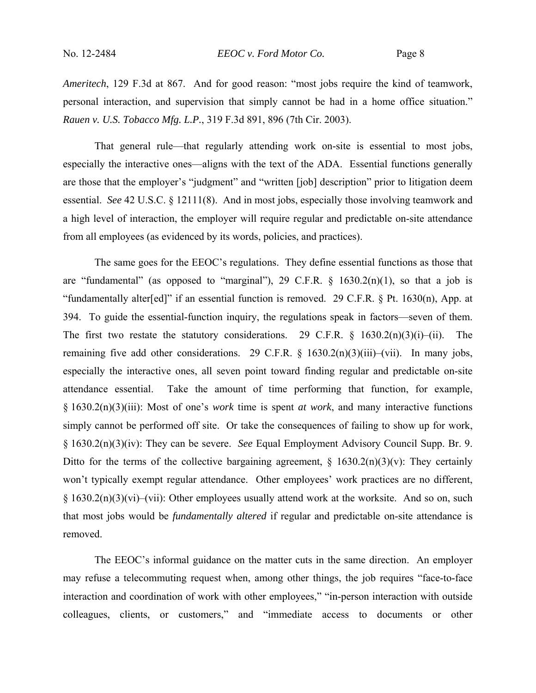*Ameritech*, 129 F.3d at 867. And for good reason: "most jobs require the kind of teamwork, personal interaction, and supervision that simply cannot be had in a home office situation." *Rauen v. U.S. Tobacco Mfg. L.P.*, 319 F.3d 891, 896 (7th Cir. 2003).

That general rule—that regularly attending work on-site is essential to most jobs, especially the interactive ones—aligns with the text of the ADA. Essential functions generally are those that the employer's "judgment" and "written [job] description" prior to litigation deem essential. *See* 42 U.S.C. § 12111(8). And in most jobs, especially those involving teamwork and a high level of interaction, the employer will require regular and predictable on-site attendance from all employees (as evidenced by its words, policies, and practices).

The same goes for the EEOC's regulations. They define essential functions as those that are "fundamental" (as opposed to "marginal"), 29 C.F.R.  $\S$  1630.2(n)(1), so that a job is "fundamentally alter[ed]" if an essential function is removed. 29 C.F.R. § Pt. 1630(n), App. at 394. To guide the essential-function inquiry, the regulations speak in factors—seven of them. The first two restate the statutory considerations. 29 C.F.R. § 1630.2(n)(3)(i)–(ii). The remaining five add other considerations. 29 C.F.R.  $\frac{1630.2(n)(3)(iii)}{10}$  (vii). In many jobs, especially the interactive ones, all seven point toward finding regular and predictable on-site attendance essential. Take the amount of time performing that function, for example, § 1630.2(n)(3)(iii): Most of one's *work* time is spent *at work*, and many interactive functions simply cannot be performed off site. Or take the consequences of failing to show up for work, § 1630.2(n)(3)(iv): They can be severe. *See* Equal Employment Advisory Council Supp. Br. 9. Ditto for the terms of the collective bargaining agreement,  $\S$  1630.2(n)(3)(v): They certainly won't typically exempt regular attendance. Other employees' work practices are no different,  $§ 1630.2(n)(3)(vi)–(vii):$  Other employees usually attend work at the worksite. And so on, such that most jobs would be *fundamentally altered* if regular and predictable on-site attendance is removed.

The EEOC's informal guidance on the matter cuts in the same direction. An employer may refuse a telecommuting request when, among other things, the job requires "face-to-face interaction and coordination of work with other employees," "in-person interaction with outside colleagues, clients, or customers," and "immediate access to documents or other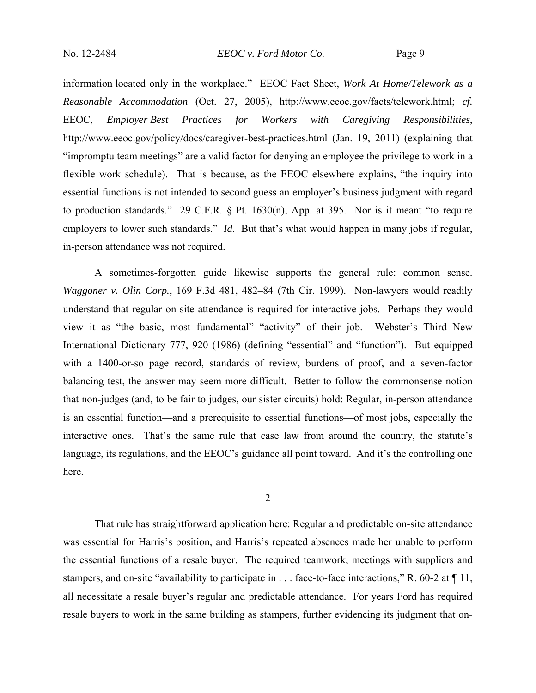information located only in the workplace." EEOC Fact Sheet, *Work At Home/Telework as a Reasonable Accommodation* (Oct. 27, 2005), http://www.eeoc.gov/facts/telework.html; *cf.*  EEOC, *Employer Best Practices for Workers with Caregiving Responsibilities*, http://www.eeoc.gov/policy/docs/caregiver-best-practices.html (Jan. 19, 2011) (explaining that "impromptu team meetings" are a valid factor for denying an employee the privilege to work in a flexible work schedule). That is because, as the EEOC elsewhere explains, "the inquiry into essential functions is not intended to second guess an employer's business judgment with regard to production standards." 29 C.F.R. § Pt. 1630(n), App. at 395. Nor is it meant "to require employers to lower such standards." *Id.* But that's what would happen in many jobs if regular, in-person attendance was not required.

A sometimes-forgotten guide likewise supports the general rule: common sense. *Waggoner v. Olin Corp.*, 169 F.3d 481, 482–84 (7th Cir. 1999). Non-lawyers would readily understand that regular on-site attendance is required for interactive jobs. Perhaps they would view it as "the basic, most fundamental" "activity" of their job. Webster's Third New International Dictionary 777, 920 (1986) (defining "essential" and "function"). But equipped with a 1400-or-so page record, standards of review, burdens of proof, and a seven-factor balancing test, the answer may seem more difficult. Better to follow the commonsense notion that non-judges (and, to be fair to judges, our sister circuits) hold: Regular, in-person attendance is an essential function—and a prerequisite to essential functions—of most jobs, especially the interactive ones. That's the same rule that case law from around the country, the statute's language, its regulations, and the EEOC's guidance all point toward. And it's the controlling one here.

2

That rule has straightforward application here: Regular and predictable on-site attendance was essential for Harris's position, and Harris's repeated absences made her unable to perform the essential functions of a resale buyer. The required teamwork, meetings with suppliers and stampers, and on-site "availability to participate in . . . face-to-face interactions," R. 60-2 at ¶ 11, all necessitate a resale buyer's regular and predictable attendance. For years Ford has required resale buyers to work in the same building as stampers, further evidencing its judgment that on-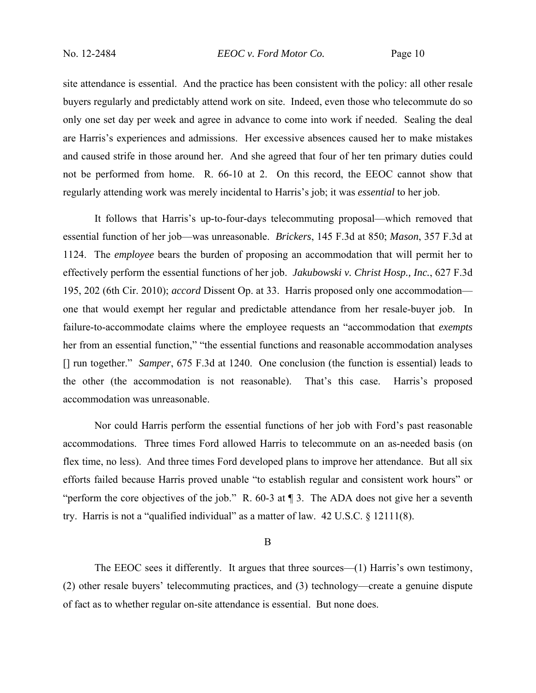site attendance is essential. And the practice has been consistent with the policy: all other resale buyers regularly and predictably attend work on site. Indeed, even those who telecommute do so only one set day per week and agree in advance to come into work if needed. Sealing the deal are Harris's experiences and admissions. Her excessive absences caused her to make mistakes and caused strife in those around her. And she agreed that four of her ten primary duties could not be performed from home. R. 66-10 at 2. On this record, the EEOC cannot show that regularly attending work was merely incidental to Harris's job; it was *essential* to her job.

It follows that Harris's up-to-four-days telecommuting proposal—which removed that essential function of her job—was unreasonable. *Brickers*, 145 F.3d at 850; *Mason*, 357 F.3d at 1124. The *employee* bears the burden of proposing an accommodation that will permit her to effectively perform the essential functions of her job. *Jakubowski v. Christ Hosp., Inc.*, 627 F.3d 195, 202 (6th Cir. 2010); *accord* Dissent Op. at 33. Harris proposed only one accommodation one that would exempt her regular and predictable attendance from her resale-buyer job. In failure-to-accommodate claims where the employee requests an "accommodation that *exempts* her from an essential function," "the essential functions and reasonable accommodation analyses [] run together." *Samper*, 675 F.3d at 1240. One conclusion (the function is essential) leads to the other (the accommodation is not reasonable). That's this case. Harris's proposed accommodation was unreasonable.

Nor could Harris perform the essential functions of her job with Ford's past reasonable accommodations. Three times Ford allowed Harris to telecommute on an as-needed basis (on flex time, no less). And three times Ford developed plans to improve her attendance. But all six efforts failed because Harris proved unable "to establish regular and consistent work hours" or "perform the core objectives of the job." R. 60-3 at ¶ 3. The ADA does not give her a seventh try. Harris is not a "qualified individual" as a matter of law. 42 U.S.C. § 12111(8).

B

The EEOC sees it differently. It argues that three sources—(1) Harris's own testimony, (2) other resale buyers' telecommuting practices, and (3) technology—create a genuine dispute of fact as to whether regular on-site attendance is essential. But none does.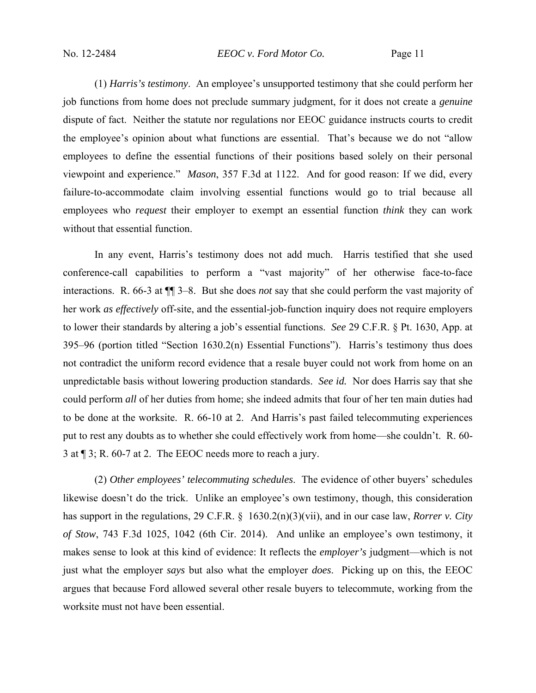(1) *Harris's testimony*. An employee's unsupported testimony that she could perform her job functions from home does not preclude summary judgment, for it does not create a *genuine* dispute of fact. Neither the statute nor regulations nor EEOC guidance instructs courts to credit the employee's opinion about what functions are essential. That's because we do not "allow employees to define the essential functions of their positions based solely on their personal viewpoint and experience." *Mason*, 357 F.3d at 1122. And for good reason: If we did, every failure-to-accommodate claim involving essential functions would go to trial because all employees who *request* their employer to exempt an essential function *think* they can work without that essential function.

In any event, Harris's testimony does not add much. Harris testified that she used conference-call capabilities to perform a "vast majority" of her otherwise face-to-face interactions. R. 66-3 at ¶¶ 3–8. But she does *not* say that she could perform the vast majority of her work *as effectively* off-site, and the essential-job-function inquiry does not require employers to lower their standards by altering a job's essential functions. *See* 29 C.F.R. § Pt. 1630, App. at 395–96 (portion titled "Section 1630.2(n) Essential Functions"). Harris's testimony thus does not contradict the uniform record evidence that a resale buyer could not work from home on an unpredictable basis without lowering production standards. *See id.* Nor does Harris say that she could perform *all* of her duties from home; she indeed admits that four of her ten main duties had to be done at the worksite. R. 66-10 at 2. And Harris's past failed telecommuting experiences put to rest any doubts as to whether she could effectively work from home—she couldn't. R. 60- 3 at ¶ 3; R. 60-7 at 2. The EEOC needs more to reach a jury.

(2) *Other employees' telecommuting schedules*. The evidence of other buyers' schedules likewise doesn't do the trick. Unlike an employee's own testimony, though, this consideration has support in the regulations, 29 C.F.R. § 1630.2(n)(3)(vii), and in our case law, *Rorrer v. City of Stow*, 743 F.3d 1025, 1042 (6th Cir. 2014). And unlike an employee's own testimony, it makes sense to look at this kind of evidence: It reflects the *employer's* judgment—which is not just what the employer *says* but also what the employer *does*. Picking up on this, the EEOC argues that because Ford allowed several other resale buyers to telecommute, working from the worksite must not have been essential.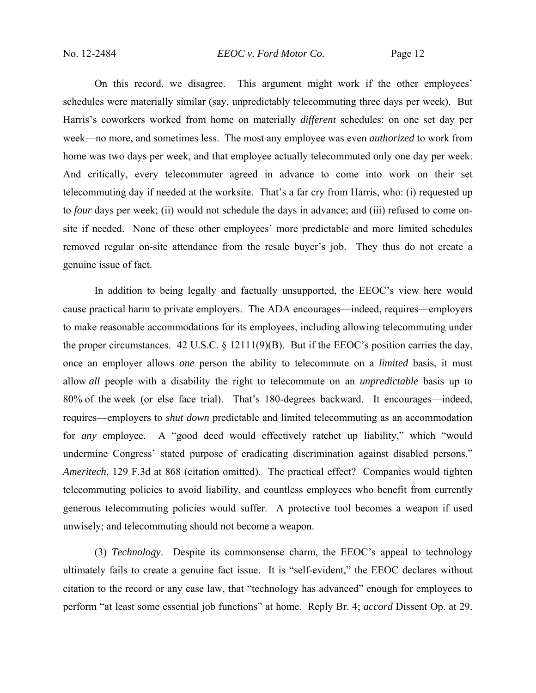On this record, we disagree. This argument might work if the other employees' schedules were materially similar (say, unpredictably telecommuting three days per week). But Harris's coworkers worked from home on materially *different* schedules: on one set day per week—no more, and sometimes less. The most any employee was even *authorized* to work from home was two days per week, and that employee actually telecommuted only one day per week. And critically, every telecommuter agreed in advance to come into work on their set telecommuting day if needed at the worksite. That's a far cry from Harris, who: (i) requested up to *four* days per week; (ii) would not schedule the days in advance; and (iii) refused to come onsite if needed. None of these other employees' more predictable and more limited schedules removed regular on-site attendance from the resale buyer's job. They thus do not create a genuine issue of fact.

In addition to being legally and factually unsupported, the EEOC's view here would cause practical harm to private employers. The ADA encourages—indeed, requires—employers to make reasonable accommodations for its employees, including allowing telecommuting under the proper circumstances. 42 U.S.C. § 12111(9)(B). But if the EEOC's position carries the day, once an employer allows *one* person the ability to telecommute on a *limited* basis, it must allow *all* people with a disability the right to telecommute on an *unpredictable* basis up to 80% of the week (or else face trial). That's 180-degrees backward. It encourages—indeed, requires—employers to *shut down* predictable and limited telecommuting as an accommodation for *any* employee. A "good deed would effectively ratchet up liability," which "would undermine Congress' stated purpose of eradicating discrimination against disabled persons." *Ameritech*, 129 F.3d at 868 (citation omitted). The practical effect? Companies would tighten telecommuting policies to avoid liability, and countless employees who benefit from currently generous telecommuting policies would suffer. A protective tool becomes a weapon if used unwisely; and telecommuting should not become a weapon.

(3) *Technology*. Despite its commonsense charm, the EEOC's appeal to technology ultimately fails to create a genuine fact issue. It is "self-evident," the EEOC declares without citation to the record or any case law, that "technology has advanced" enough for employees to perform "at least some essential job functions" at home. Reply Br. 4; *accord* Dissent Op. at 29.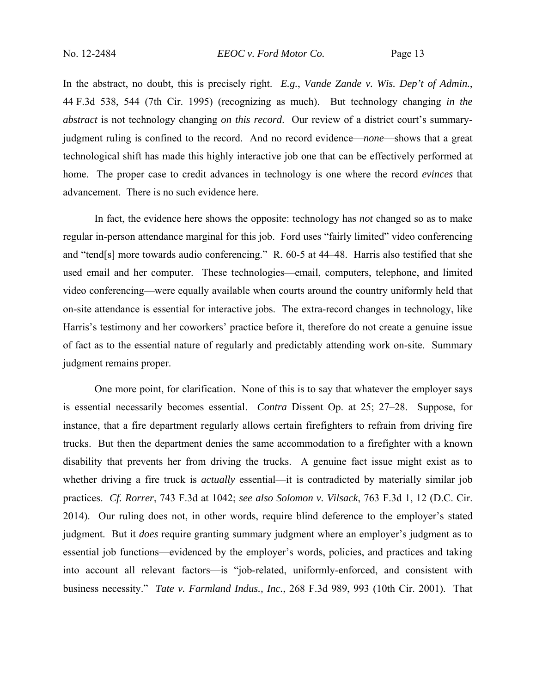In the abstract, no doubt, this is precisely right. *E.g.*, *Vande Zande v. Wis. Dep't of Admin.*, 44 F.3d 538, 544 (7th Cir. 1995) (recognizing as much). But technology changing *in the abstract* is not technology changing *on this record*. Our review of a district court's summaryjudgment ruling is confined to the record. And no record evidence—*none*—shows that a great technological shift has made this highly interactive job one that can be effectively performed at home. The proper case to credit advances in technology is one where the record *evinces* that advancement. There is no such evidence here.

In fact, the evidence here shows the opposite: technology has *not* changed so as to make regular in-person attendance marginal for this job. Ford uses "fairly limited" video conferencing and "tend[s] more towards audio conferencing." R. 60-5 at 44–48. Harris also testified that she used email and her computer. These technologies—email, computers, telephone, and limited video conferencing—were equally available when courts around the country uniformly held that on-site attendance is essential for interactive jobs. The extra-record changes in technology, like Harris's testimony and her coworkers' practice before it, therefore do not create a genuine issue of fact as to the essential nature of regularly and predictably attending work on-site. Summary judgment remains proper.

One more point, for clarification. None of this is to say that whatever the employer says is essential necessarily becomes essential. *Contra* Dissent Op. at 25; 27–28. Suppose, for instance, that a fire department regularly allows certain firefighters to refrain from driving fire trucks. But then the department denies the same accommodation to a firefighter with a known disability that prevents her from driving the trucks. A genuine fact issue might exist as to whether driving a fire truck is *actually* essential—it is contradicted by materially similar job practices. *Cf. Rorrer*, 743 F.3d at 1042; *see also Solomon v. Vilsack*, 763 F.3d 1, 12 (D.C. Cir. 2014). Our ruling does not, in other words, require blind deference to the employer's stated judgment. But it *does* require granting summary judgment where an employer's judgment as to essential job functions—evidenced by the employer's words, policies, and practices and taking into account all relevant factors—is "job-related, uniformly-enforced, and consistent with business necessity." *Tate v. Farmland Indus., Inc.*, 268 F.3d 989, 993 (10th Cir. 2001). That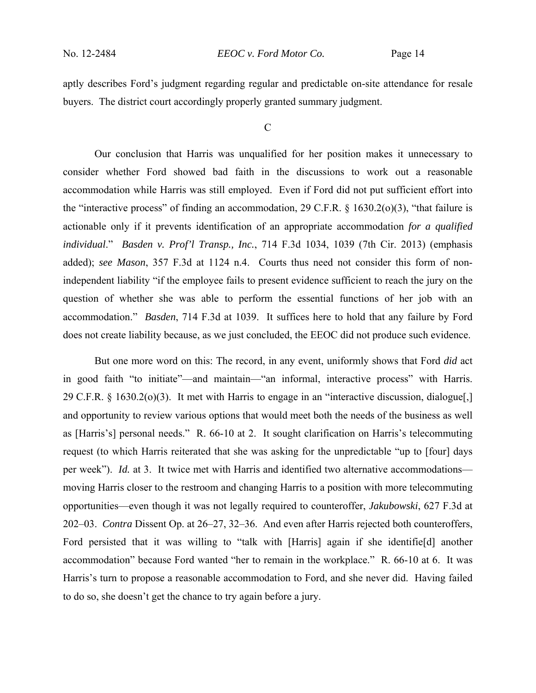aptly describes Ford's judgment regarding regular and predictable on-site attendance for resale buyers. The district court accordingly properly granted summary judgment.

#### $\mathcal{C}$

Our conclusion that Harris was unqualified for her position makes it unnecessary to consider whether Ford showed bad faith in the discussions to work out a reasonable accommodation while Harris was still employed. Even if Ford did not put sufficient effort into the "interactive process" of finding an accommodation, 29 C.F.R. § 1630.2(o)(3), "that failure is actionable only if it prevents identification of an appropriate accommodation *for a qualified individual*." *Basden v. Prof'l Transp., Inc.*, 714 F.3d 1034, 1039 (7th Cir. 2013) (emphasis added); *see Mason*, 357 F.3d at 1124 n.4. Courts thus need not consider this form of nonindependent liability "if the employee fails to present evidence sufficient to reach the jury on the question of whether she was able to perform the essential functions of her job with an accommodation." *Basden*, 714 F.3d at 1039. It suffices here to hold that any failure by Ford does not create liability because, as we just concluded, the EEOC did not produce such evidence.

But one more word on this: The record, in any event, uniformly shows that Ford *did* act in good faith "to initiate"—and maintain—"an informal, interactive process" with Harris. 29 C.F.R.  $\S$  1630.2(o)(3). It met with Harris to engage in an "interactive discussion, dialogue. and opportunity to review various options that would meet both the needs of the business as well as [Harris's] personal needs." R. 66-10 at 2. It sought clarification on Harris's telecommuting request (to which Harris reiterated that she was asking for the unpredictable "up to [four] days per week"). *Id.* at 3. It twice met with Harris and identified two alternative accommodations moving Harris closer to the restroom and changing Harris to a position with more telecommuting opportunities—even though it was not legally required to counteroffer, *Jakubowski*, 627 F.3d at 202–03. *Contra* Dissent Op. at 26–27, 32–36. And even after Harris rejected both counteroffers, Ford persisted that it was willing to "talk with [Harris] again if she identifie[d] another accommodation" because Ford wanted "her to remain in the workplace." R. 66-10 at 6. It was Harris's turn to propose a reasonable accommodation to Ford, and she never did. Having failed to do so, she doesn't get the chance to try again before a jury.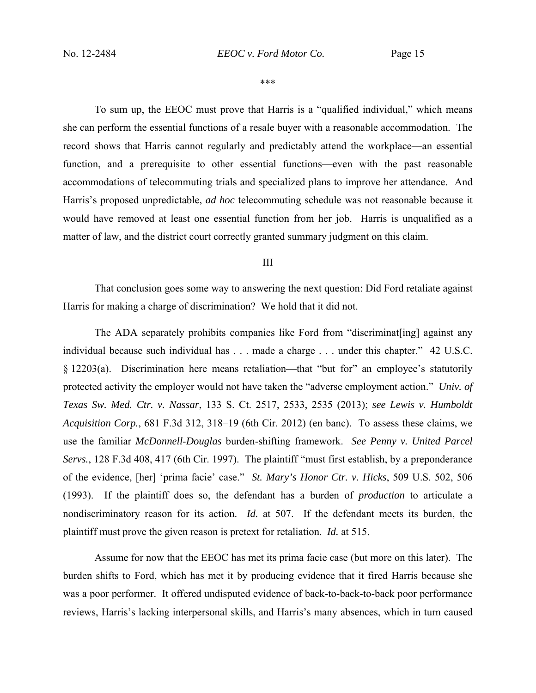\*\*\*

To sum up, the EEOC must prove that Harris is a "qualified individual," which means she can perform the essential functions of a resale buyer with a reasonable accommodation. The record shows that Harris cannot regularly and predictably attend the workplace—an essential function, and a prerequisite to other essential functions—even with the past reasonable accommodations of telecommuting trials and specialized plans to improve her attendance. And Harris's proposed unpredictable, *ad hoc* telecommuting schedule was not reasonable because it would have removed at least one essential function from her job. Harris is unqualified as a matter of law, and the district court correctly granted summary judgment on this claim.

III

That conclusion goes some way to answering the next question: Did Ford retaliate against Harris for making a charge of discrimination? We hold that it did not.

The ADA separately prohibits companies like Ford from "discriminat[ing] against any individual because such individual has . . . made a charge . . . under this chapter." 42 U.S.C. § 12203(a). Discrimination here means retaliation—that "but for" an employee's statutorily protected activity the employer would not have taken the "adverse employment action." *Univ. of Texas Sw. Med. Ctr. v. Nassar*, 133 S. Ct. 2517, 2533, 2535 (2013); *see Lewis v. Humboldt Acquisition Corp.*, 681 F.3d 312, 318–19 (6th Cir. 2012) (en banc). To assess these claims, we use the familiar *McDonnell*-*Douglas* burden-shifting framework. *See Penny v. United Parcel Servs.*, 128 F.3d 408, 417 (6th Cir. 1997). The plaintiff "must first establish, by a preponderance of the evidence, [her] 'prima facie' case." *St. Mary's Honor Ctr. v. Hicks*, 509 U.S. 502, 506 (1993). If the plaintiff does so, the defendant has a burden of *production* to articulate a nondiscriminatory reason for its action. *Id.* at 507. If the defendant meets its burden, the plaintiff must prove the given reason is pretext for retaliation. *Id.* at 515.

Assume for now that the EEOC has met its prima facie case (but more on this later). The burden shifts to Ford, which has met it by producing evidence that it fired Harris because she was a poor performer. It offered undisputed evidence of back-to-back-to-back poor performance reviews, Harris's lacking interpersonal skills, and Harris's many absences, which in turn caused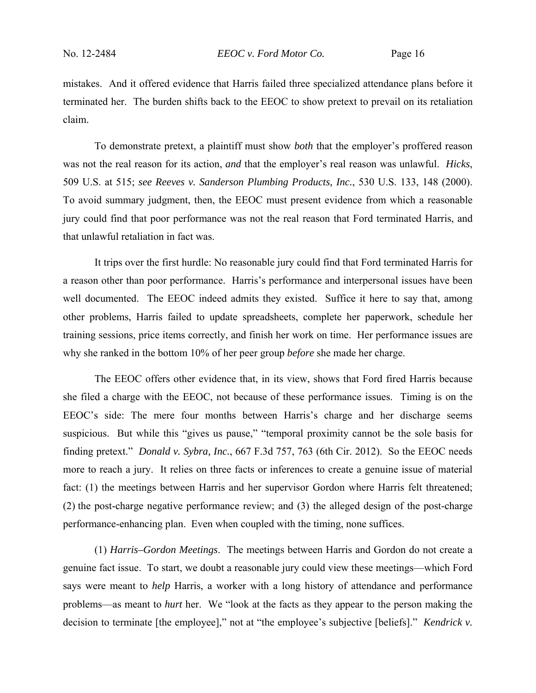mistakes. And it offered evidence that Harris failed three specialized attendance plans before it terminated her. The burden shifts back to the EEOC to show pretext to prevail on its retaliation claim.

To demonstrate pretext, a plaintiff must show *both* that the employer's proffered reason was not the real reason for its action, *and* that the employer's real reason was unlawful. *Hicks*, 509 U.S. at 515; *see Reeves v. Sanderson Plumbing Products, Inc.*, 530 U.S. 133, 148 (2000). To avoid summary judgment, then, the EEOC must present evidence from which a reasonable jury could find that poor performance was not the real reason that Ford terminated Harris, and that unlawful retaliation in fact was.

It trips over the first hurdle: No reasonable jury could find that Ford terminated Harris for a reason other than poor performance. Harris's performance and interpersonal issues have been well documented. The EEOC indeed admits they existed. Suffice it here to say that, among other problems, Harris failed to update spreadsheets, complete her paperwork, schedule her training sessions, price items correctly, and finish her work on time. Her performance issues are why she ranked in the bottom 10% of her peer group *before* she made her charge.

The EEOC offers other evidence that, in its view, shows that Ford fired Harris because she filed a charge with the EEOC, not because of these performance issues. Timing is on the EEOC's side: The mere four months between Harris's charge and her discharge seems suspicious. But while this "gives us pause," "temporal proximity cannot be the sole basis for finding pretext." *Donald v. Sybra, Inc.*, 667 F.3d 757, 763 (6th Cir. 2012). So the EEOC needs more to reach a jury. It relies on three facts or inferences to create a genuine issue of material fact: (1) the meetings between Harris and her supervisor Gordon where Harris felt threatened; (2) the post-charge negative performance review; and (3) the alleged design of the post-charge performance-enhancing plan. Even when coupled with the timing, none suffices.

(1) *Harris–Gordon Meetings*.The meetings between Harris and Gordon do not create a genuine fact issue. To start, we doubt a reasonable jury could view these meetings—which Ford says were meant to *help* Harris, a worker with a long history of attendance and performance problems—as meant to *hurt* her. We "look at the facts as they appear to the person making the decision to terminate [the employee]," not at "the employee's subjective [beliefs]." *Kendrick v.*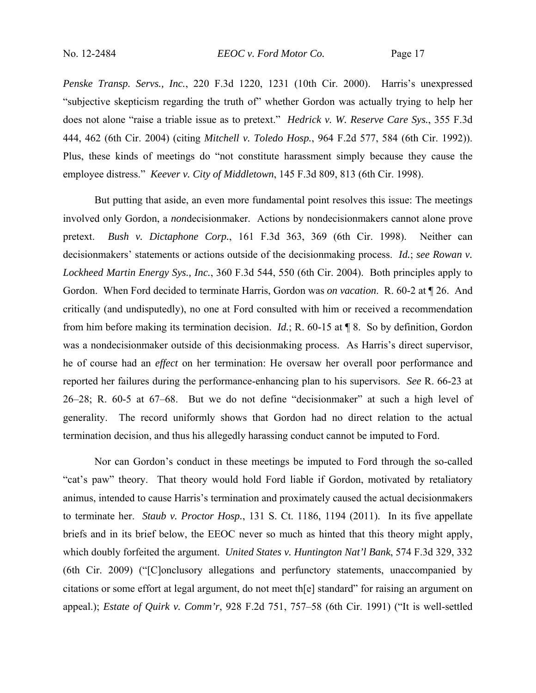*Penske Transp. Servs., Inc.*, 220 F.3d 1220, 1231 (10th Cir. 2000). Harris's unexpressed "subjective skepticism regarding the truth of" whether Gordon was actually trying to help her does not alone "raise a triable issue as to pretext." *Hedrick v. W. Reserve Care Sys.*, 355 F.3d 444, 462 (6th Cir. 2004) (citing *Mitchell v. Toledo Hosp.*, 964 F.2d 577, 584 (6th Cir. 1992)). Plus, these kinds of meetings do "not constitute harassment simply because they cause the employee distress." *Keever v. City of Middletown*, 145 F.3d 809, 813 (6th Cir. 1998).

But putting that aside, an even more fundamental point resolves this issue: The meetings involved only Gordon, a *non*decisionmaker. Actions by nondecisionmakers cannot alone prove pretext. *Bush v. Dictaphone Corp.*, 161 F.3d 363, 369 (6th Cir. 1998). Neither can decisionmakers' statements or actions outside of the decisionmaking process. *Id.*; *see Rowan v. Lockheed Martin Energy Sys., Inc.*, 360 F.3d 544, 550 (6th Cir. 2004).Both principles apply to Gordon. When Ford decided to terminate Harris, Gordon was *on vacation*. R. 60-2 at ¶ 26. And critically (and undisputedly), no one at Ford consulted with him or received a recommendation from him before making its termination decision. *Id.*; R. 60-15 at ¶ 8. So by definition, Gordon was a nondecisionmaker outside of this decisionmaking process. As Harris's direct supervisor, he of course had an *effect* on her termination: He oversaw her overall poor performance and reported her failures during the performance-enhancing plan to his supervisors. *See* R. 66-23 at 26–28; R. 60-5 at 67–68. But we do not define "decisionmaker" at such a high level of generality. The record uniformly shows that Gordon had no direct relation to the actual termination decision, and thus his allegedly harassing conduct cannot be imputed to Ford.

Nor can Gordon's conduct in these meetings be imputed to Ford through the so-called "cat's paw" theory. That theory would hold Ford liable if Gordon, motivated by retaliatory animus, intended to cause Harris's termination and proximately caused the actual decisionmakers to terminate her. *Staub v. Proctor Hosp.*, 131 S. Ct. 1186, 1194 (2011). In its five appellate briefs and in its brief below, the EEOC never so much as hinted that this theory might apply, which doubly forfeited the argument. *United States v. Huntington Nat'l Bank*, 574 F.3d 329, 332 (6th Cir. 2009) ("[C]onclusory allegations and perfunctory statements, unaccompanied by citations or some effort at legal argument, do not meet th[e] standard" for raising an argument on appeal.); *Estate of Quirk v. Comm'r*, 928 F.2d 751, 757–58 (6th Cir. 1991) ("It is well-settled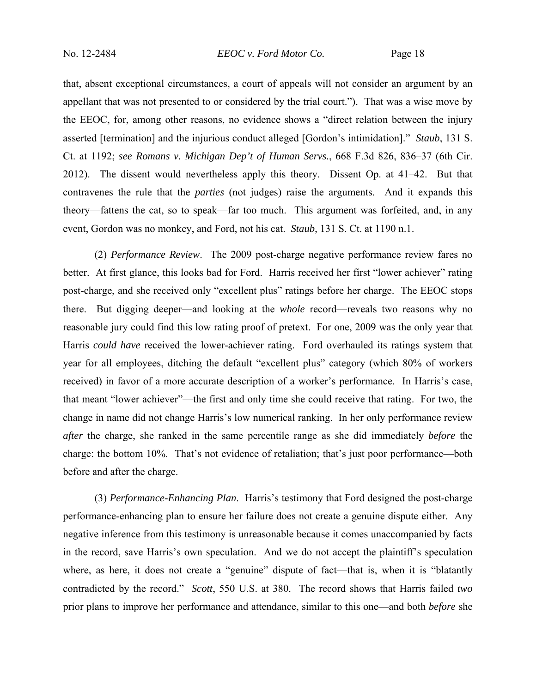that, absent exceptional circumstances, a court of appeals will not consider an argument by an appellant that was not presented to or considered by the trial court."). That was a wise move by the EEOC, for, among other reasons, no evidence shows a "direct relation between the injury asserted [termination] and the injurious conduct alleged [Gordon's intimidation]." *Staub*, 131 S. Ct. at 1192; *see Romans v. Michigan Dep't of Human Servs.*, 668 F.3d 826, 836–37 (6th Cir. 2012). The dissent would nevertheless apply this theory. Dissent Op. at 41–42. But that contravenes the rule that the *parties* (not judges) raise the arguments. And it expands this theory—fattens the cat, so to speak—far too much. This argument was forfeited, and, in any event, Gordon was no monkey, and Ford, not his cat. *Staub*, 131 S. Ct. at 1190 n.1.

(2) *Performance Review*. The 2009 post-charge negative performance review fares no better. At first glance, this looks bad for Ford. Harris received her first "lower achiever" rating post-charge, and she received only "excellent plus" ratings before her charge. The EEOC stops there. But digging deeper—and looking at the *whole* record—reveals two reasons why no reasonable jury could find this low rating proof of pretext. For one, 2009 was the only year that Harris *could have* received the lower-achiever rating. Ford overhauled its ratings system that year for all employees, ditching the default "excellent plus" category (which 80% of workers received) in favor of a more accurate description of a worker's performance. In Harris's case, that meant "lower achiever"—the first and only time she could receive that rating. For two, the change in name did not change Harris's low numerical ranking. In her only performance review *after* the charge, she ranked in the same percentile range as she did immediately *before* the charge: the bottom 10%. That's not evidence of retaliation; that's just poor performance—both before and after the charge.

(3) *Performance-Enhancing Plan*. Harris's testimony that Ford designed the post-charge performance-enhancing plan to ensure her failure does not create a genuine dispute either. Any negative inference from this testimony is unreasonable because it comes unaccompanied by facts in the record, save Harris's own speculation. And we do not accept the plaintiff's speculation where, as here, it does not create a "genuine" dispute of fact—that is, when it is "blatantly contradicted by the record." *Scott*, 550 U.S. at 380. The record shows that Harris failed *two* prior plans to improve her performance and attendance, similar to this one—and both *before* she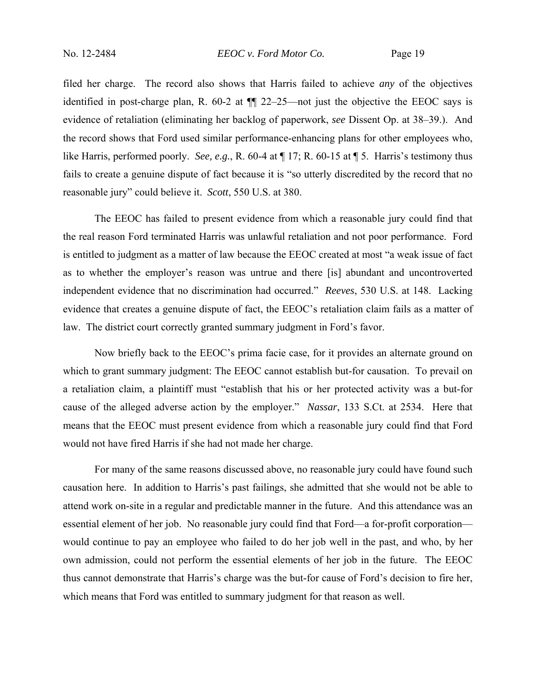filed her charge. The record also shows that Harris failed to achieve *any* of the objectives identified in post-charge plan, R. 60-2 at ¶¶ 22–25—not just the objective the EEOC says is evidence of retaliation (eliminating her backlog of paperwork, *see* Dissent Op. at 38–39.). And the record shows that Ford used similar performance-enhancing plans for other employees who, like Harris, performed poorly. *See, e.g.*, R. 60-4 at ¶ 17; R. 60-15 at ¶ 5. Harris's testimony thus fails to create a genuine dispute of fact because it is "so utterly discredited by the record that no reasonable jury" could believe it. *Scott*, 550 U.S. at 380.

The EEOC has failed to present evidence from which a reasonable jury could find that the real reason Ford terminated Harris was unlawful retaliation and not poor performance. Ford is entitled to judgment as a matter of law because the EEOC created at most "a weak issue of fact as to whether the employer's reason was untrue and there [is] abundant and uncontroverted independent evidence that no discrimination had occurred." *Reeves*, 530 U.S. at 148. Lacking evidence that creates a genuine dispute of fact, the EEOC's retaliation claim fails as a matter of law. The district court correctly granted summary judgment in Ford's favor.

Now briefly back to the EEOC's prima facie case, for it provides an alternate ground on which to grant summary judgment: The EEOC cannot establish but-for causation. To prevail on a retaliation claim, a plaintiff must "establish that his or her protected activity was a but-for cause of the alleged adverse action by the employer." *Nassar*, 133 S.Ct. at 2534. Here that means that the EEOC must present evidence from which a reasonable jury could find that Ford would not have fired Harris if she had not made her charge.

For many of the same reasons discussed above, no reasonable jury could have found such causation here. In addition to Harris's past failings, she admitted that she would not be able to attend work on-site in a regular and predictable manner in the future. And this attendance was an essential element of her job. No reasonable jury could find that Ford—a for-profit corporation would continue to pay an employee who failed to do her job well in the past, and who, by her own admission, could not perform the essential elements of her job in the future. The EEOC thus cannot demonstrate that Harris's charge was the but-for cause of Ford's decision to fire her, which means that Ford was entitled to summary judgment for that reason as well.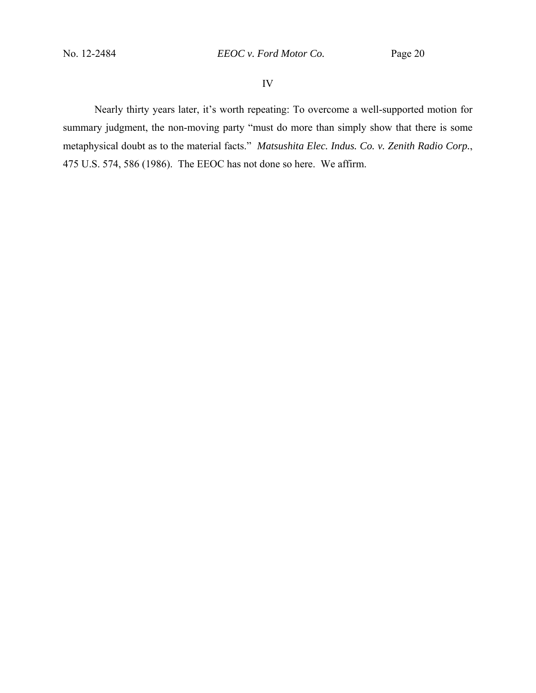IV

 Nearly thirty years later, it's worth repeating: To overcome a well-supported motion for summary judgment, the non-moving party "must do more than simply show that there is some metaphysical doubt as to the material facts." *Matsushita Elec. Indus. Co. v. Zenith Radio Corp.*, 475 U.S. 574, 586 (1986). The EEOC has not done so here. We affirm.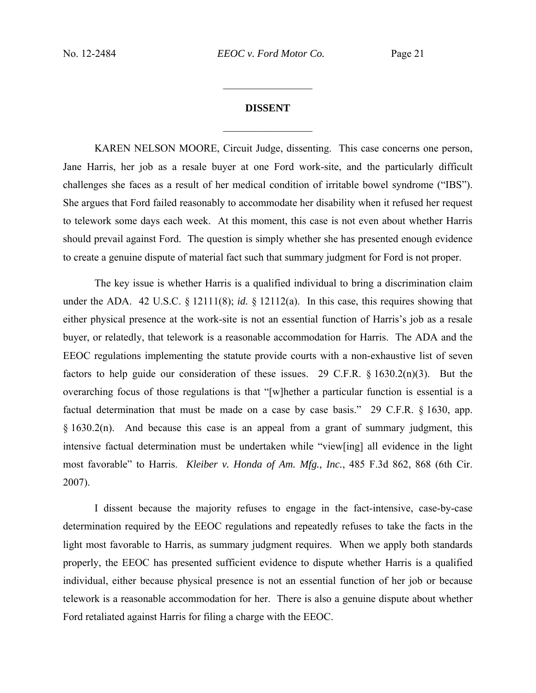# **DISSENT**  $\frac{1}{2}$

 $\frac{1}{2}$  ,  $\frac{1}{2}$  ,  $\frac{1}{2}$  ,  $\frac{1}{2}$  ,  $\frac{1}{2}$  ,  $\frac{1}{2}$  ,  $\frac{1}{2}$  ,  $\frac{1}{2}$  ,  $\frac{1}{2}$ 

KAREN NELSON MOORE, Circuit Judge, dissenting. This case concerns one person, Jane Harris, her job as a resale buyer at one Ford work-site, and the particularly difficult challenges she faces as a result of her medical condition of irritable bowel syndrome ("IBS"). She argues that Ford failed reasonably to accommodate her disability when it refused her request to telework some days each week. At this moment, this case is not even about whether Harris should prevail against Ford. The question is simply whether she has presented enough evidence to create a genuine dispute of material fact such that summary judgment for Ford is not proper.

 The key issue is whether Harris is a qualified individual to bring a discrimination claim under the ADA. 42 U.S.C. § 12111(8); *id.* § 12112(a). In this case, this requires showing that either physical presence at the work-site is not an essential function of Harris's job as a resale buyer, or relatedly, that telework is a reasonable accommodation for Harris. The ADA and the EEOC regulations implementing the statute provide courts with a non-exhaustive list of seven factors to help guide our consideration of these issues. 29 C.F.R. § 1630.2(n)(3). But the overarching focus of those regulations is that "[w]hether a particular function is essential is a factual determination that must be made on a case by case basis." 29 C.F.R. § 1630, app. § 1630.2(n). And because this case is an appeal from a grant of summary judgment, this intensive factual determination must be undertaken while "view[ing] all evidence in the light most favorable" to Harris. *Kleiber v. Honda of Am. Mfg., Inc.*, 485 F.3d 862, 868 (6th Cir. 2007).

 I dissent because the majority refuses to engage in the fact-intensive, case-by-case determination required by the EEOC regulations and repeatedly refuses to take the facts in the light most favorable to Harris, as summary judgment requires. When we apply both standards properly, the EEOC has presented sufficient evidence to dispute whether Harris is a qualified individual, either because physical presence is not an essential function of her job or because telework is a reasonable accommodation for her. There is also a genuine dispute about whether Ford retaliated against Harris for filing a charge with the EEOC.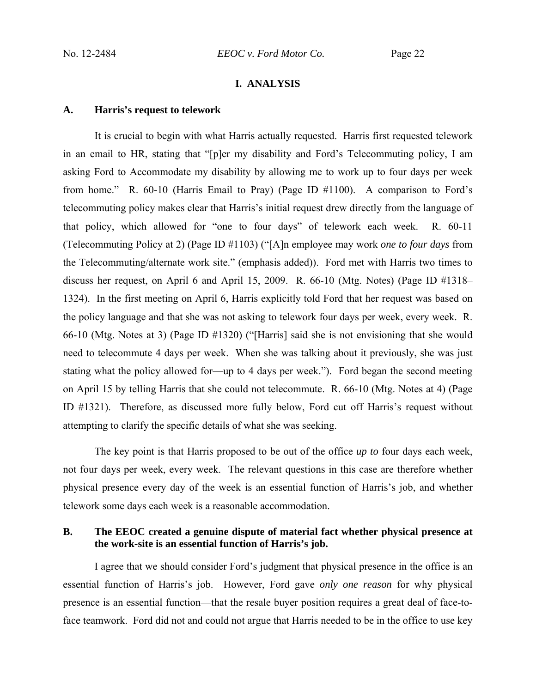### **I. ANALYSIS**

#### **A. Harris's request to telework**

It is crucial to begin with what Harris actually requested. Harris first requested telework in an email to HR, stating that "[p]er my disability and Ford's Telecommuting policy, I am asking Ford to Accommodate my disability by allowing me to work up to four days per week from home." R. 60-10 (Harris Email to Pray) (Page ID #1100). A comparison to Ford's telecommuting policy makes clear that Harris's initial request drew directly from the language of that policy, which allowed for "one to four days" of telework each week. R. 60-11 (Telecommuting Policy at 2) (Page ID #1103) ("[A]n employee may work *one to four days* from the Telecommuting/alternate work site." (emphasis added)). Ford met with Harris two times to discuss her request, on April 6 and April 15, 2009. R. 66-10 (Mtg. Notes) (Page ID #1318– 1324). In the first meeting on April 6, Harris explicitly told Ford that her request was based on the policy language and that she was not asking to telework four days per week, every week. R. 66-10 (Mtg. Notes at 3) (Page ID #1320) ("[Harris] said she is not envisioning that she would need to telecommute 4 days per week. When she was talking about it previously, she was just stating what the policy allowed for—up to 4 days per week."). Ford began the second meeting on April 15 by telling Harris that she could not telecommute. R. 66-10 (Mtg. Notes at 4) (Page ID #1321). Therefore, as discussed more fully below, Ford cut off Harris's request without attempting to clarify the specific details of what she was seeking.

The key point is that Harris proposed to be out of the office *up to* four days each week, not four days per week, every week. The relevant questions in this case are therefore whether physical presence every day of the week is an essential function of Harris's job, and whether telework some days each week is a reasonable accommodation.

## **B. The EEOC created a genuine dispute of material fact whether physical presence at the work-site is an essential function of Harris's job.**

I agree that we should consider Ford's judgment that physical presence in the office is an essential function of Harris's job. However, Ford gave *only one reason* for why physical presence is an essential function—that the resale buyer position requires a great deal of face-toface teamwork. Ford did not and could not argue that Harris needed to be in the office to use key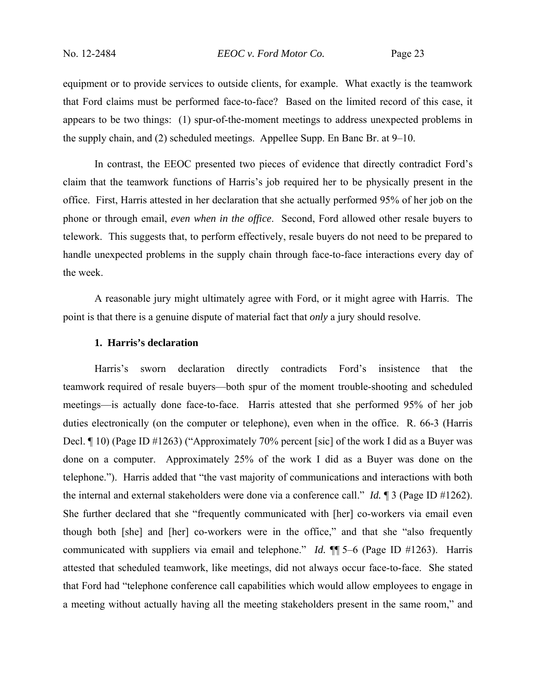equipment or to provide services to outside clients, for example. What exactly is the teamwork that Ford claims must be performed face-to-face? Based on the limited record of this case, it appears to be two things: (1) spur-of-the-moment meetings to address unexpected problems in the supply chain, and (2) scheduled meetings. Appellee Supp. En Banc Br. at 9–10.

In contrast, the EEOC presented two pieces of evidence that directly contradict Ford's claim that the teamwork functions of Harris's job required her to be physically present in the office. First, Harris attested in her declaration that she actually performed 95% of her job on the phone or through email, *even when in the office*. Second, Ford allowed other resale buyers to telework. This suggests that, to perform effectively, resale buyers do not need to be prepared to handle unexpected problems in the supply chain through face-to-face interactions every day of the week.

A reasonable jury might ultimately agree with Ford, or it might agree with Harris. The point is that there is a genuine dispute of material fact that *only* a jury should resolve.

#### **1. Harris's declaration**

Harris's sworn declaration directly contradicts Ford's insistence that the teamwork required of resale buyers—both spur of the moment trouble-shooting and scheduled meetings—is actually done face-to-face. Harris attested that she performed 95% of her job duties electronically (on the computer or telephone), even when in the office. R. 66-3 (Harris Decl. ¶ 10) (Page ID #1263) ("Approximately 70% percent [sic] of the work I did as a Buyer was done on a computer. Approximately 25% of the work I did as a Buyer was done on the telephone."). Harris added that "the vast majority of communications and interactions with both the internal and external stakeholders were done via a conference call." *Id.* ¶ 3 (Page ID #1262). She further declared that she "frequently communicated with [her] co-workers via email even though both [she] and [her] co-workers were in the office," and that she "also frequently communicated with suppliers via email and telephone." *Id.*  $\P$  5–6 (Page ID #1263). Harris attested that scheduled teamwork, like meetings, did not always occur face-to-face. She stated that Ford had "telephone conference call capabilities which would allow employees to engage in a meeting without actually having all the meeting stakeholders present in the same room," and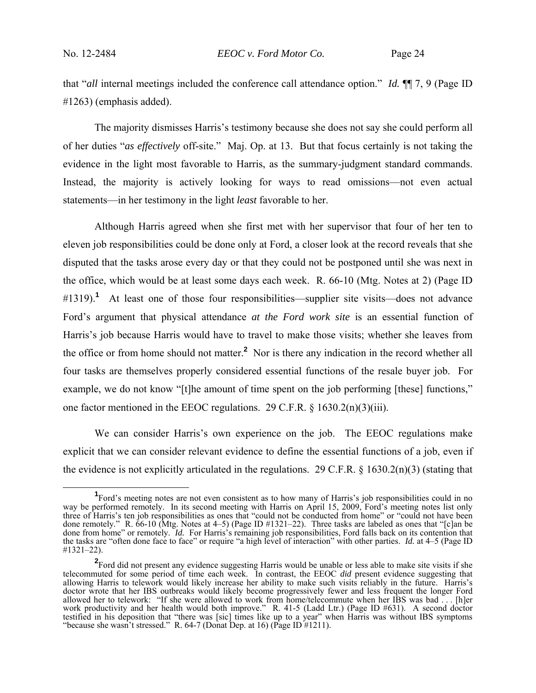that "*all* internal meetings included the conference call attendance option." *Id.* ¶¶ 7, 9 (Page ID #1263) (emphasis added).

The majority dismisses Harris's testimony because she does not say she could perform all of her duties "*as effectively* off-site." Maj. Op. at 13. But that focus certainly is not taking the evidence in the light most favorable to Harris, as the summary-judgment standard commands. Instead, the majority is actively looking for ways to read omissions—not even actual statements—in her testimony in the light *least* favorable to her.

Although Harris agreed when she first met with her supervisor that four of her ten to eleven job responsibilities could be done only at Ford, a closer look at the record reveals that she disputed that the tasks arose every day or that they could not be postponed until she was next in the office, which would be at least some days each week. R. 66-10 (Mtg. Notes at 2) (Page ID #1319).<sup>1</sup> At least one of those four responsibilities—supplier site visits—does not advance Ford's argument that physical attendance *at the Ford work site* is an essential function of Harris's job because Harris would have to travel to make those visits; whether she leaves from the office or from home should not matter.**<sup>2</sup>** Nor is there any indication in the record whether all four tasks are themselves properly considered essential functions of the resale buyer job. For example, we do not know "[t]he amount of time spent on the job performing [these] functions," one factor mentioned in the EEOC regulations. 29 C.F.R. § 1630.2(n)(3)(iii).

We can consider Harris's own experience on the job. The EEOC regulations make explicit that we can consider relevant evidence to define the essential functions of a job, even if the evidence is not explicitly articulated in the regulations. 29 C.F.R. § 1630.2(n)(3) (stating that

**<sup>1</sup>** <sup>1</sup>Ford's meeting notes are not even consistent as to how many of Harris's job responsibilities could in no way be performed remotely. In its second meeting with Harris on April 15, 2009, Ford's meeting notes list only three of Harris's ten job responsibilities as ones that "could not be conducted from home" or "could not have been done remotely." R. 66-10 (Mtg. Notes at 4–5) (Page ID #1321–22). Three tasks are labeled as ones that "[c]an be done from home" or remotely. *Id.* For Harris's remaining job responsibilities, Ford falls back on its contention that the tasks are "often done face to face" or require "a high level of interaction" with other parties. *Id.* at 4–5 (Page ID #1321–22).

<sup>&</sup>lt;sup>2</sup> Ford did not present any evidence suggesting Harris would be unable or less able to make site visits if she telecommuted for some period of time each week. In contrast, the EEOC *did* present evidence suggesting that allowing Harris to telework would likely increase her ability to make such visits reliably in the future. Harris's doctor wrote that her IBS outbreaks would likely become progressively fewer and less frequent the longer Ford allowed her to telework: "If she were allowed to work from home/telecommute when her IBS was bad . . . [h]er work productivity and her health would both improve." R. 41-5 (Ladd Ltr.) (Page ID #631). A second doctor testified in his deposition that "there was [sic] times like up to a year" when Harris was without IBS symptoms "because she wasn't stressed." R. 64-7 (Donat Dep. at 16) (Page ID  $\#1211$ ).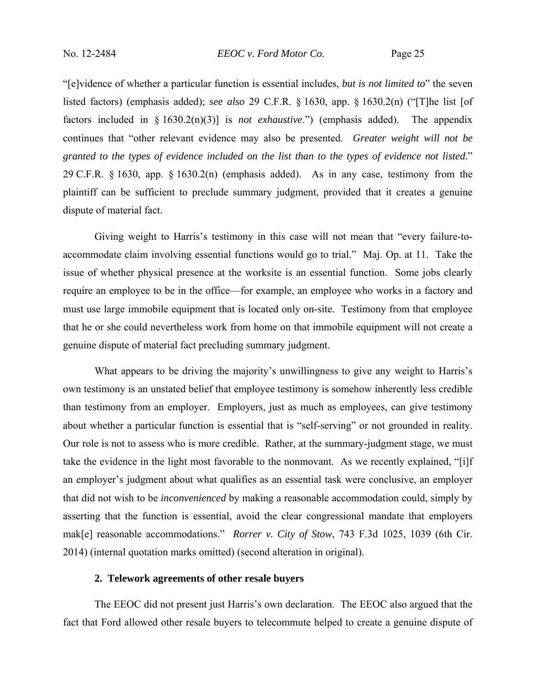"[e]vidence of whether a particular function is essential includes, *but is not limited to*" the seven listed factors) (emphasis added); *see also* 29 C.F.R. § 1630, app. § 1630.2(n) ("[T]he list [of factors included in § 1630.2(n)(3)] is *not exhaustive*.") (emphasis added). The appendix continues that "other relevant evidence may also be presented. *Greater weight will not be granted to the types of evidence included on the list than to the types of evidence not listed*." 29 C.F.R. § 1630, app. § 1630.2(n) (emphasis added). As in any case, testimony from the plaintiff can be sufficient to preclude summary judgment, provided that it creates a genuine dispute of material fact.

Giving weight to Harris's testimony in this case will not mean that "every failure-toaccommodate claim involving essential functions would go to trial." Maj. Op. at 11. Take the issue of whether physical presence at the worksite is an essential function. Some jobs clearly require an employee to be in the office—for example, an employee who works in a factory and must use large immobile equipment that is located only on-site. Testimony from that employee that he or she could nevertheless work from home on that immobile equipment will not create a genuine dispute of material fact precluding summary judgment.

What appears to be driving the majority's unwillingness to give any weight to Harris's own testimony is an unstated belief that employee testimony is somehow inherently less credible than testimony from an employer. Employers, just as much as employees, can give testimony about whether a particular function is essential that is "self-serving" or not grounded in reality. Our role is not to assess who is more credible. Rather, at the summary-judgment stage, we must take the evidence in the light most favorable to the nonmovant. As we recently explained, "[i]f an employer's judgment about what qualifies as an essential task were conclusive, an employer that did not wish to be *inconvenienced* by making a reasonable accommodation could, simply by asserting that the function is essential, avoid the clear congressional mandate that employers mak[e] reasonable accommodations." *Rorrer v. City of Stow*, 743 F.3d 1025, 1039 (6th Cir. 2014) (internal quotation marks omitted) (second alteration in original).

#### **2. Telework agreements of other resale buyers**

 The EEOC did not present just Harris's own declaration. The EEOC also argued that the fact that Ford allowed other resale buyers to telecommute helped to create a genuine dispute of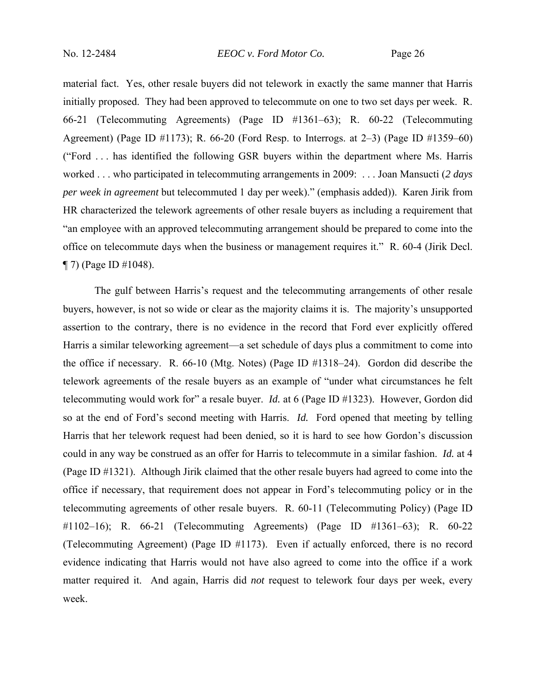material fact. Yes, other resale buyers did not telework in exactly the same manner that Harris initially proposed. They had been approved to telecommute on one to two set days per week. R. 66-21 (Telecommuting Agreements) (Page ID #1361–63); R. 60-22 (Telecommuting Agreement) (Page ID #1173); R. 66-20 (Ford Resp. to Interrogs. at 2–3) (Page ID #1359–60) ("Ford . . . has identified the following GSR buyers within the department where Ms. Harris worked . . . who participated in telecommuting arrangements in 2009: . . . Joan Mansucti (*2 days per week in agreement* but telecommuted 1 day per week)." (emphasis added)). Karen Jirik from HR characterized the telework agreements of other resale buyers as including a requirement that "an employee with an approved telecommuting arrangement should be prepared to come into the office on telecommute days when the business or management requires it." R. 60-4 (Jirik Decl. ¶ 7) (Page ID #1048).

The gulf between Harris's request and the telecommuting arrangements of other resale buyers, however, is not so wide or clear as the majority claims it is. The majority's unsupported assertion to the contrary, there is no evidence in the record that Ford ever explicitly offered Harris a similar teleworking agreement—a set schedule of days plus a commitment to come into the office if necessary. R. 66-10 (Mtg. Notes) (Page ID #1318–24). Gordon did describe the telework agreements of the resale buyers as an example of "under what circumstances he felt telecommuting would work for" a resale buyer. *Id.* at 6 (Page ID #1323). However, Gordon did so at the end of Ford's second meeting with Harris. *Id.* Ford opened that meeting by telling Harris that her telework request had been denied, so it is hard to see how Gordon's discussion could in any way be construed as an offer for Harris to telecommute in a similar fashion. *Id.* at 4 (Page ID #1321). Although Jirik claimed that the other resale buyers had agreed to come into the office if necessary, that requirement does not appear in Ford's telecommuting policy or in the telecommuting agreements of other resale buyers. R. 60-11 (Telecommuting Policy) (Page ID #1102–16); R. 66-21 (Telecommuting Agreements) (Page ID #1361–63); R. 60-22 (Telecommuting Agreement) (Page ID #1173). Even if actually enforced, there is no record evidence indicating that Harris would not have also agreed to come into the office if a work matter required it. And again, Harris did *not* request to telework four days per week, every week.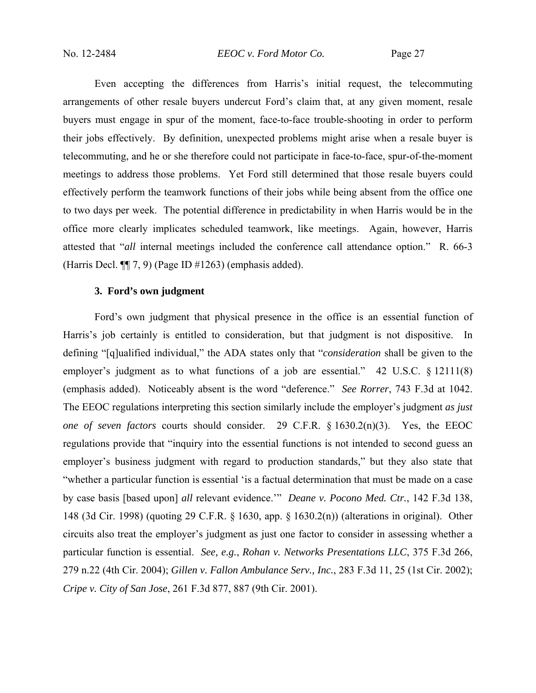Even accepting the differences from Harris's initial request, the telecommuting arrangements of other resale buyers undercut Ford's claim that, at any given moment, resale buyers must engage in spur of the moment, face-to-face trouble-shooting in order to perform their jobs effectively. By definition, unexpected problems might arise when a resale buyer is telecommuting, and he or she therefore could not participate in face-to-face, spur-of-the-moment meetings to address those problems. Yet Ford still determined that those resale buyers could effectively perform the teamwork functions of their jobs while being absent from the office one to two days per week. The potential difference in predictability in when Harris would be in the office more clearly implicates scheduled teamwork, like meetings. Again, however, Harris attested that "*all* internal meetings included the conference call attendance option." R. 66-3 (Harris Decl. ¶¶ 7, 9) (Page ID #1263) (emphasis added).

### **3. Ford's own judgment**

Ford's own judgment that physical presence in the office is an essential function of Harris's job certainly is entitled to consideration, but that judgment is not dispositive. In defining "[q]ualified individual," the ADA states only that "*consideration* shall be given to the employer's judgment as to what functions of a job are essential." 42 U.S.C. § 12111(8) (emphasis added). Noticeably absent is the word "deference." *See Rorrer*, 743 F.3d at 1042. The EEOC regulations interpreting this section similarly include the employer's judgment *as just one of seven factors* courts should consider. 29 C.F.R. § 1630.2(n)(3). Yes, the EEOC regulations provide that "inquiry into the essential functions is not intended to second guess an employer's business judgment with regard to production standards," but they also state that "whether a particular function is essential 'is a factual determination that must be made on a case by case basis [based upon] *all* relevant evidence.'" *Deane v. Pocono Med. Ctr.*, 142 F.3d 138, 148 (3d Cir. 1998) (quoting 29 C.F.R. § 1630, app. § 1630.2(n)) (alterations in original). Other circuits also treat the employer's judgment as just one factor to consider in assessing whether a particular function is essential. *See, e.g.*, *Rohan v. Networks Presentations LLC*, 375 F.3d 266, 279 n.22 (4th Cir. 2004); *Gillen v. Fallon Ambulance Serv., Inc.*, 283 F.3d 11, 25 (1st Cir. 2002); *Cripe v. City of San Jose*, 261 F.3d 877, 887 (9th Cir. 2001).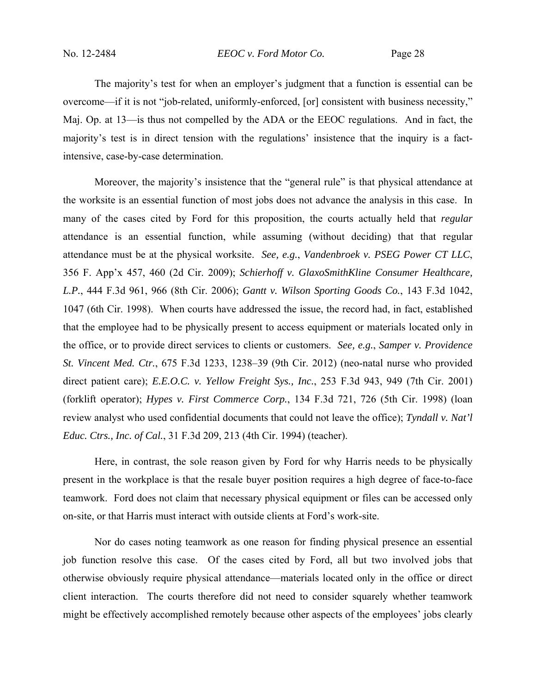The majority's test for when an employer's judgment that a function is essential can be overcome—if it is not "job-related, uniformly-enforced, [or] consistent with business necessity," Maj. Op. at 13—is thus not compelled by the ADA or the EEOC regulations. And in fact, the majority's test is in direct tension with the regulations' insistence that the inquiry is a factintensive, case-by-case determination.

Moreover, the majority's insistence that the "general rule" is that physical attendance at the worksite is an essential function of most jobs does not advance the analysis in this case. In many of the cases cited by Ford for this proposition, the courts actually held that *regular* attendance is an essential function, while assuming (without deciding) that that regular attendance must be at the physical worksite. *See, e.g.*, *Vandenbroek v. PSEG Power CT LLC*, 356 F. App'x 457, 460 (2d Cir. 2009); *Schierhoff v. GlaxoSmithKline Consumer Healthcare, L.P.*, 444 F.3d 961, 966 (8th Cir. 2006); *Gantt v. Wilson Sporting Goods Co.*, 143 F.3d 1042, 1047 (6th Cir. 1998). When courts have addressed the issue, the record had, in fact, established that the employee had to be physically present to access equipment or materials located only in the office, or to provide direct services to clients or customers. *See, e.g.*, *Samper v. Providence St. Vincent Med. Ctr.*, 675 F.3d 1233, 1238–39 (9th Cir. 2012) (neo-natal nurse who provided direct patient care); *E.E.O.C. v. Yellow Freight Sys., Inc.*, 253 F.3d 943, 949 (7th Cir. 2001) (forklift operator); *Hypes v. First Commerce Corp.*, 134 F.3d 721, 726 (5th Cir. 1998) (loan review analyst who used confidential documents that could not leave the office); *Tyndall v. Nat'l Educ. Ctrs., Inc. of Cal.*, 31 F.3d 209, 213 (4th Cir. 1994) (teacher).

 Here, in contrast, the sole reason given by Ford for why Harris needs to be physically present in the workplace is that the resale buyer position requires a high degree of face-to-face teamwork. Ford does not claim that necessary physical equipment or files can be accessed only on-site, or that Harris must interact with outside clients at Ford's work-site.

 Nor do cases noting teamwork as one reason for finding physical presence an essential job function resolve this case. Of the cases cited by Ford, all but two involved jobs that otherwise obviously require physical attendance—materials located only in the office or direct client interaction. The courts therefore did not need to consider squarely whether teamwork might be effectively accomplished remotely because other aspects of the employees' jobs clearly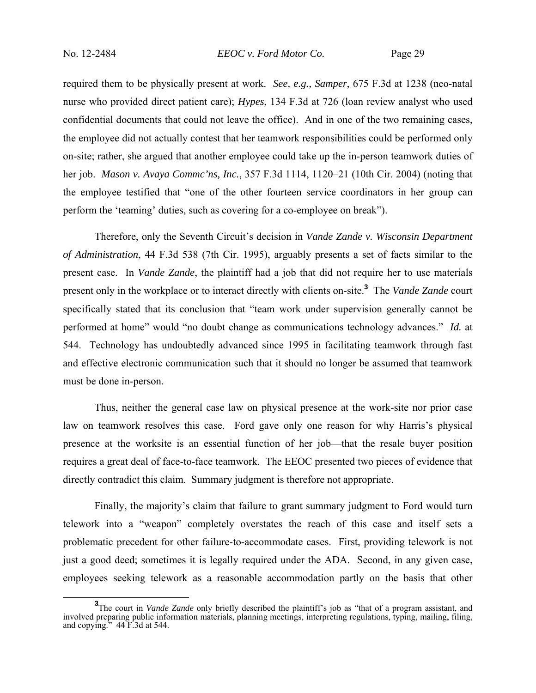required them to be physically present at work. *See, e.g.*, *Samper*, 675 F.3d at 1238 (neo-natal nurse who provided direct patient care); *Hypes*, 134 F.3d at 726 (loan review analyst who used confidential documents that could not leave the office). And in one of the two remaining cases, the employee did not actually contest that her teamwork responsibilities could be performed only on-site; rather, she argued that another employee could take up the in-person teamwork duties of her job. *Mason v. Avaya Commc'ns, Inc.*, 357 F.3d 1114, 1120–21 (10th Cir. 2004) (noting that the employee testified that "one of the other fourteen service coordinators in her group can perform the 'teaming' duties, such as covering for a co-employee on break").

Therefore, only the Seventh Circuit's decision in *Vande Zande v. Wisconsin Department of Administration*, 44 F.3d 538 (7th Cir. 1995), arguably presents a set of facts similar to the present case. In *Vande Zande*, the plaintiff had a job that did not require her to use materials present only in the workplace or to interact directly with clients on-site.**<sup>3</sup>** The *Vande Zande* court specifically stated that its conclusion that "team work under supervision generally cannot be performed at home" would "no doubt change as communications technology advances." *Id.* at 544. Technology has undoubtedly advanced since 1995 in facilitating teamwork through fast and effective electronic communication such that it should no longer be assumed that teamwork must be done in-person.

Thus, neither the general case law on physical presence at the work-site nor prior case law on teamwork resolves this case. Ford gave only one reason for why Harris's physical presence at the worksite is an essential function of her job—that the resale buyer position requires a great deal of face-to-face teamwork. The EEOC presented two pieces of evidence that directly contradict this claim. Summary judgment is therefore not appropriate.

Finally, the majority's claim that failure to grant summary judgment to Ford would turn telework into a "weapon" completely overstates the reach of this case and itself sets a problematic precedent for other failure-to-accommodate cases. First, providing telework is not just a good deed; sometimes it is legally required under the ADA. Second, in any given case, employees seeking telework as a reasonable accommodation partly on the basis that other

<sup>&</sup>lt;sup>3</sup>The court in *Vande Zande* only briefly described the plaintiff's job as "that of a program assistant, and involved preparing public information materials, planning meetings, interpreting regulations, typing, mailing, filing, and copying."  $44$  F.3d at 544.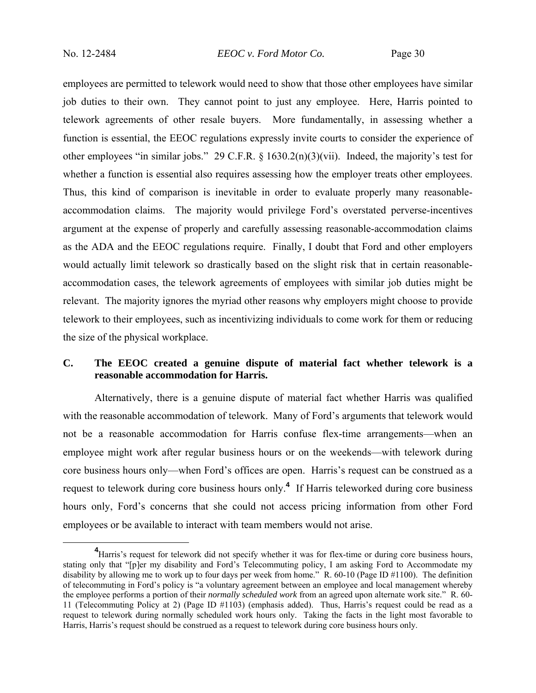employees are permitted to telework would need to show that those other employees have similar job duties to their own. They cannot point to just any employee. Here, Harris pointed to telework agreements of other resale buyers. More fundamentally, in assessing whether a function is essential, the EEOC regulations expressly invite courts to consider the experience of other employees "in similar jobs." 29 C.F.R. § 1630.2(n)(3)(vii). Indeed, the majority's test for whether a function is essential also requires assessing how the employer treats other employees. Thus, this kind of comparison is inevitable in order to evaluate properly many reasonableaccommodation claims. The majority would privilege Ford's overstated perverse-incentives argument at the expense of properly and carefully assessing reasonable-accommodation claims as the ADA and the EEOC regulations require. Finally, I doubt that Ford and other employers would actually limit telework so drastically based on the slight risk that in certain reasonableaccommodation cases, the telework agreements of employees with similar job duties might be relevant. The majority ignores the myriad other reasons why employers might choose to provide telework to their employees, such as incentivizing individuals to come work for them or reducing the size of the physical workplace.

## **C. The EEOC created a genuine dispute of material fact whether telework is a reasonable accommodation for Harris.**

Alternatively, there is a genuine dispute of material fact whether Harris was qualified with the reasonable accommodation of telework. Many of Ford's arguments that telework would not be a reasonable accommodation for Harris confuse flex-time arrangements—when an employee might work after regular business hours or on the weekends—with telework during core business hours only—when Ford's offices are open. Harris's request can be construed as a request to telework during core business hours only.**<sup>4</sup>** If Harris teleworked during core business hours only, Ford's concerns that she could not access pricing information from other Ford employees or be available to interact with team members would not arise.

**<sup>4</sup>** <sup>4</sup> Harris's request for telework did not specify whether it was for flex-time or during core business hours, stating only that "[p]er my disability and Ford's Telecommuting policy, I am asking Ford to Accommodate my disability by allowing me to work up to four days per week from home." R. 60-10 (Page ID #1100). The definition of telecommuting in Ford's policy is "a voluntary agreement between an employee and local management whereby the employee performs a portion of their *normally scheduled work* from an agreed upon alternate work site." R. 60- 11 (Telecommuting Policy at 2) (Page ID #1103) (emphasis added). Thus, Harris's request could be read as a request to telework during normally scheduled work hours only. Taking the facts in the light most favorable to Harris, Harris's request should be construed as a request to telework during core business hours only.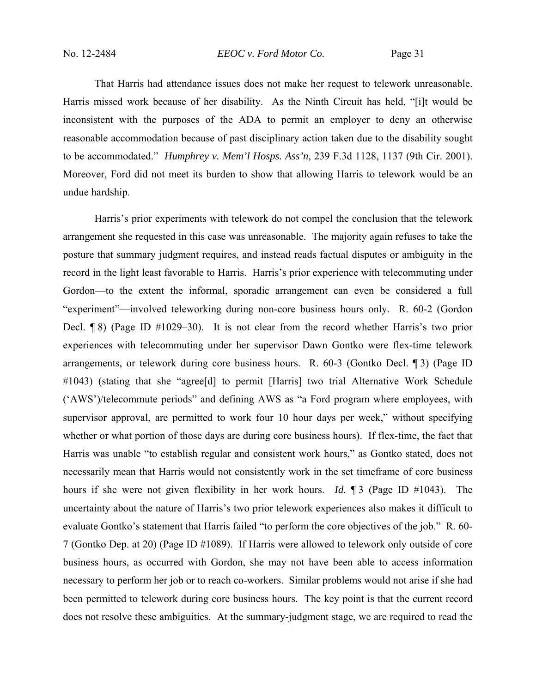That Harris had attendance issues does not make her request to telework unreasonable. Harris missed work because of her disability. As the Ninth Circuit has held, "[i]t would be inconsistent with the purposes of the ADA to permit an employer to deny an otherwise reasonable accommodation because of past disciplinary action taken due to the disability sought to be accommodated." *Humphrey v. Mem'l Hosps. Ass'n*, 239 F.3d 1128, 1137 (9th Cir. 2001). Moreover, Ford did not meet its burden to show that allowing Harris to telework would be an undue hardship.

Harris's prior experiments with telework do not compel the conclusion that the telework arrangement she requested in this case was unreasonable. The majority again refuses to take the posture that summary judgment requires, and instead reads factual disputes or ambiguity in the record in the light least favorable to Harris. Harris's prior experience with telecommuting under Gordon—to the extent the informal, sporadic arrangement can even be considered a full "experiment"—involved teleworking during non-core business hours only. R. 60-2 (Gordon Decl. ¶ 8) (Page ID #1029–30). It is not clear from the record whether Harris's two prior experiences with telecommuting under her supervisor Dawn Gontko were flex-time telework arrangements, or telework during core business hours. R. 60-3 (Gontko Decl. ¶ 3) (Page ID #1043) (stating that she "agree[d] to permit [Harris] two trial Alternative Work Schedule ('AWS')/telecommute periods" and defining AWS as "a Ford program where employees, with supervisor approval, are permitted to work four 10 hour days per week," without specifying whether or what portion of those days are during core business hours). If flex-time, the fact that Harris was unable "to establish regular and consistent work hours," as Gontko stated, does not necessarily mean that Harris would not consistently work in the set timeframe of core business hours if she were not given flexibility in her work hours. *Id.* **1** 3 (Page ID #1043). The uncertainty about the nature of Harris's two prior telework experiences also makes it difficult to evaluate Gontko's statement that Harris failed "to perform the core objectives of the job." R. 60- 7 (Gontko Dep. at 20) (Page ID #1089). If Harris were allowed to telework only outside of core business hours, as occurred with Gordon, she may not have been able to access information necessary to perform her job or to reach co-workers. Similar problems would not arise if she had been permitted to telework during core business hours. The key point is that the current record does not resolve these ambiguities. At the summary-judgment stage, we are required to read the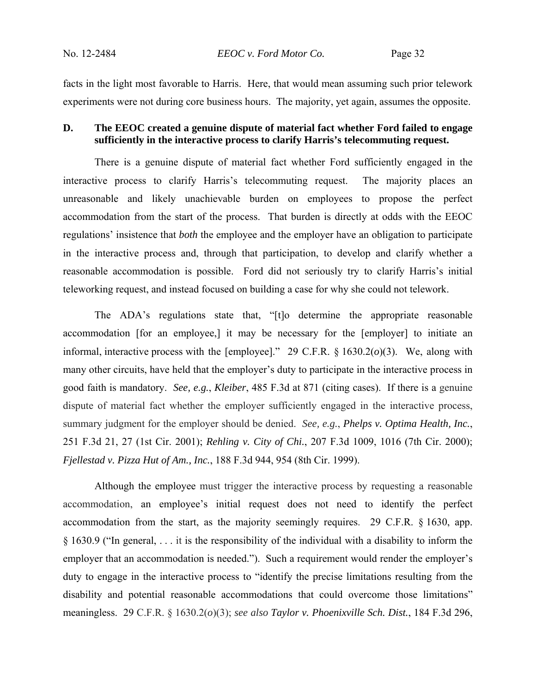facts in the light most favorable to Harris. Here, that would mean assuming such prior telework experiments were not during core business hours. The majority, yet again, assumes the opposite.

## **D. The EEOC created a genuine dispute of material fact whether Ford failed to engage sufficiently in the interactive process to clarify Harris's telecommuting request.**

There is a genuine dispute of material fact whether Ford sufficiently engaged in the interactive process to clarify Harris's telecommuting request. The majority places an unreasonable and likely unachievable burden on employees to propose the perfect accommodation from the start of the process. That burden is directly at odds with the EEOC regulations' insistence that *both* the employee and the employer have an obligation to participate in the interactive process and, through that participation, to develop and clarify whether a reasonable accommodation is possible. Ford did not seriously try to clarify Harris's initial teleworking request, and instead focused on building a case for why she could not telework.

The ADA's regulations state that, "[t]o determine the appropriate reasonable accommodation [for an employee,] it may be necessary for the [employer] to initiate an informal, interactive process with the [employee]." 29 C.F.R. § 1630.2(*o*)(3). We, along with many other circuits, have held that the employer's duty to participate in the interactive process in good faith is mandatory. *See, e.g.*, *Kleiber*, 485 F.3d at 871 (citing cases). If there is a genuine dispute of material fact whether the employer sufficiently engaged in the interactive process, summary judgment for the employer should be denied. *See, e.g.*, *Phelps v. Optima Health, Inc.*, 251 F.3d 21, 27 (1st Cir. 2001); *Rehling v. City of Chi.*, 207 F.3d 1009, 1016 (7th Cir. 2000); *Fjellestad v. Pizza Hut of Am., Inc.*, 188 F.3d 944, 954 (8th Cir. 1999).

Although the employee must trigger the interactive process by requesting a reasonable accommodation, an employee's initial request does not need to identify the perfect accommodation from the start, as the majority seemingly requires. 29 C.F.R. § 1630, app. § 1630.9 ("In general, . . . it is the responsibility of the individual with a disability to inform the employer that an accommodation is needed."). Such a requirement would render the employer's duty to engage in the interactive process to "identify the precise limitations resulting from the disability and potential reasonable accommodations that could overcome those limitations" meaningless. 29 C.F.R. § 1630.2(*o*)(3); *see also Taylor v. Phoenixville Sch. Dist.*, 184 F.3d 296,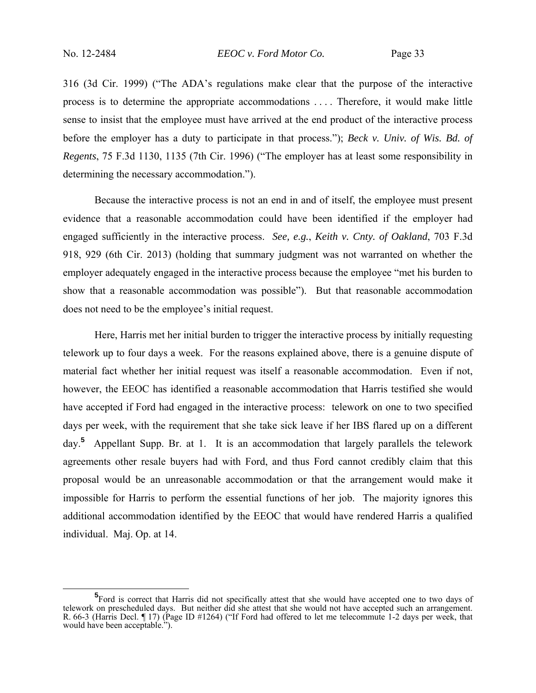316 (3d Cir. 1999) ("The ADA's regulations make clear that the purpose of the interactive process is to determine the appropriate accommodations . . . . Therefore, it would make little sense to insist that the employee must have arrived at the end product of the interactive process before the employer has a duty to participate in that process."); *Beck v. Univ. of Wis. Bd. of Regents*, 75 F.3d 1130, 1135 (7th Cir. 1996) ("The employer has at least some responsibility in determining the necessary accommodation.").

Because the interactive process is not an end in and of itself, the employee must present evidence that a reasonable accommodation could have been identified if the employer had engaged sufficiently in the interactive process. *See, e.g.*, *Keith v. Cnty. of Oakland*, 703 F.3d 918, 929 (6th Cir. 2013) (holding that summary judgment was not warranted on whether the employer adequately engaged in the interactive process because the employee "met his burden to show that a reasonable accommodation was possible"). But that reasonable accommodation does not need to be the employee's initial request.

Here, Harris met her initial burden to trigger the interactive process by initially requesting telework up to four days a week. For the reasons explained above, there is a genuine dispute of material fact whether her initial request was itself a reasonable accommodation. Even if not, however, the EEOC has identified a reasonable accommodation that Harris testified she would have accepted if Ford had engaged in the interactive process: telework on one to two specified days per week, with the requirement that she take sick leave if her IBS flared up on a different day.**<sup>5</sup>** Appellant Supp. Br. at 1. It is an accommodation that largely parallels the telework agreements other resale buyers had with Ford, and thus Ford cannot credibly claim that this proposal would be an unreasonable accommodation or that the arrangement would make it impossible for Harris to perform the essential functions of her job. The majority ignores this additional accommodation identified by the EEOC that would have rendered Harris a qualified individual. Maj. Op. at 14.

**<sup>5</sup>** Ford is correct that Harris did not specifically attest that she would have accepted one to two days of telework on prescheduled days. But neither did she attest that she would not have accepted such an arrangement. R. 66-3 (Harris Decl. ¶ 17) (Page ID #1264) ("If Ford had offered to let me telecommute 1-2 days per week, that would have been acceptable.").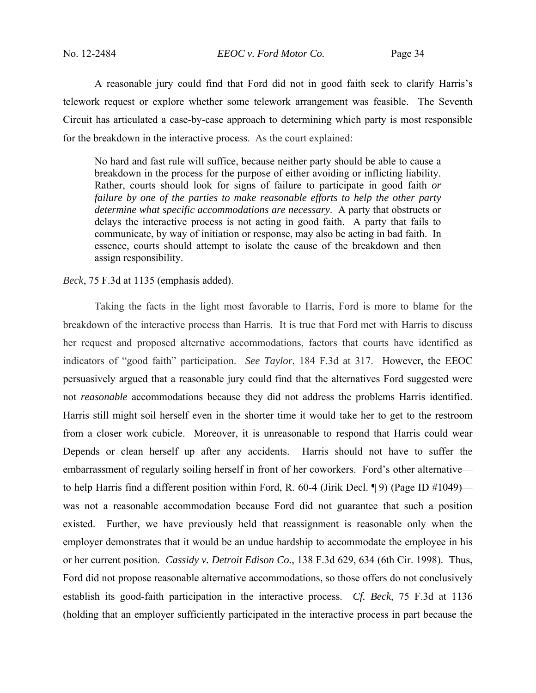A reasonable jury could find that Ford did not in good faith seek to clarify Harris's telework request or explore whether some telework arrangement was feasible. The Seventh Circuit has articulated a case-by-case approach to determining which party is most responsible for the breakdown in the interactive process. As the court explained:

No hard and fast rule will suffice, because neither party should be able to cause a breakdown in the process for the purpose of either avoiding or inflicting liability. Rather, courts should look for signs of failure to participate in good faith *or failure by one of the parties to make reasonable efforts to help the other party determine what specific accommodations are necessary*. A party that obstructs or delays the interactive process is not acting in good faith. A party that fails to communicate, by way of initiation or response, may also be acting in bad faith. In essence, courts should attempt to isolate the cause of the breakdown and then assign responsibility.

*Beck*, 75 F.3d at 1135 (emphasis added).

Taking the facts in the light most favorable to Harris, Ford is more to blame for the breakdown of the interactive process than Harris. It is true that Ford met with Harris to discuss her request and proposed alternative accommodations, factors that courts have identified as indicators of "good faith" participation. *See Taylor*, 184 F.3d at 317. However, the EEOC persuasively argued that a reasonable jury could find that the alternatives Ford suggested were not *reasonable* accommodations because they did not address the problems Harris identified. Harris still might soil herself even in the shorter time it would take her to get to the restroom from a closer work cubicle. Moreover, it is unreasonable to respond that Harris could wear Depends or clean herself up after any accidents. Harris should not have to suffer the embarrassment of regularly soiling herself in front of her coworkers. Ford's other alternative to help Harris find a different position within Ford, R. 60-4 (Jirik Decl. ¶ 9) (Page ID #1049) was not a reasonable accommodation because Ford did not guarantee that such a position existed. Further, we have previously held that reassignment is reasonable only when the employer demonstrates that it would be an undue hardship to accommodate the employee in his or her current position. *Cassidy v. Detroit Edison Co.*, 138 F.3d 629, 634 (6th Cir. 1998). Thus, Ford did not propose reasonable alternative accommodations, so those offers do not conclusively establish its good-faith participation in the interactive process. *Cf. Beck*, 75 F.3d at 1136 (holding that an employer sufficiently participated in the interactive process in part because the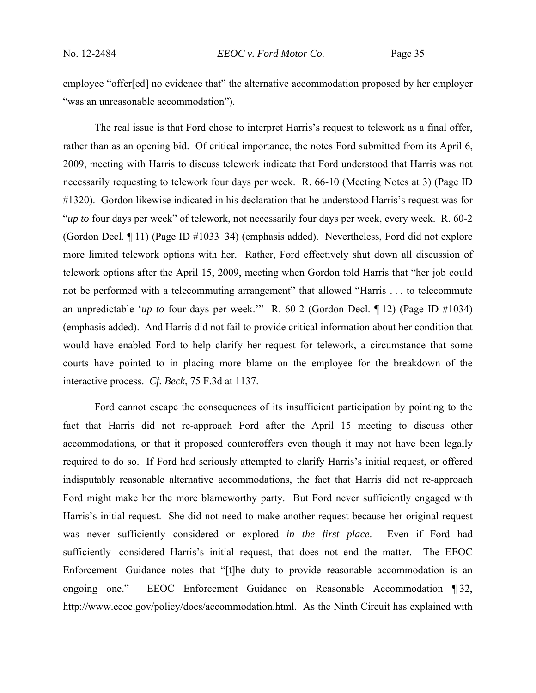employee "offer[ed] no evidence that" the alternative accommodation proposed by her employer "was an unreasonable accommodation").

 The real issue is that Ford chose to interpret Harris's request to telework as a final offer, rather than as an opening bid. Of critical importance, the notes Ford submitted from its April 6, 2009, meeting with Harris to discuss telework indicate that Ford understood that Harris was not necessarily requesting to telework four days per week. R. 66-10 (Meeting Notes at 3) (Page ID #1320). Gordon likewise indicated in his declaration that he understood Harris's request was for "*up to* four days per week" of telework, not necessarily four days per week, every week. R. 60-2 (Gordon Decl. ¶ 11) (Page ID #1033–34) (emphasis added). Nevertheless, Ford did not explore more limited telework options with her. Rather, Ford effectively shut down all discussion of telework options after the April 15, 2009, meeting when Gordon told Harris that "her job could not be performed with a telecommuting arrangement" that allowed "Harris . . . to telecommute an unpredictable '*up to* four days per week.'" R. 60-2 (Gordon Decl. ¶ 12) (Page ID #1034) (emphasis added). And Harris did not fail to provide critical information about her condition that would have enabled Ford to help clarify her request for telework, a circumstance that some courts have pointed to in placing more blame on the employee for the breakdown of the interactive process. *Cf. Beck*, 75 F.3d at 1137.

Ford cannot escape the consequences of its insufficient participation by pointing to the fact that Harris did not re-approach Ford after the April 15 meeting to discuss other accommodations, or that it proposed counteroffers even though it may not have been legally required to do so. If Ford had seriously attempted to clarify Harris's initial request, or offered indisputably reasonable alternative accommodations, the fact that Harris did not re-approach Ford might make her the more blameworthy party. But Ford never sufficiently engaged with Harris's initial request. She did not need to make another request because her original request was never sufficiently considered or explored *in the first place*. Even if Ford had sufficiently considered Harris's initial request, that does not end the matter. The EEOC Enforcement Guidance notes that "[t]he duty to provide reasonable accommodation is an ongoing one." EEOC Enforcement Guidance on Reasonable Accommodation ¶ 32, http://www.eeoc.gov/policy/docs/accommodation.html. As the Ninth Circuit has explained with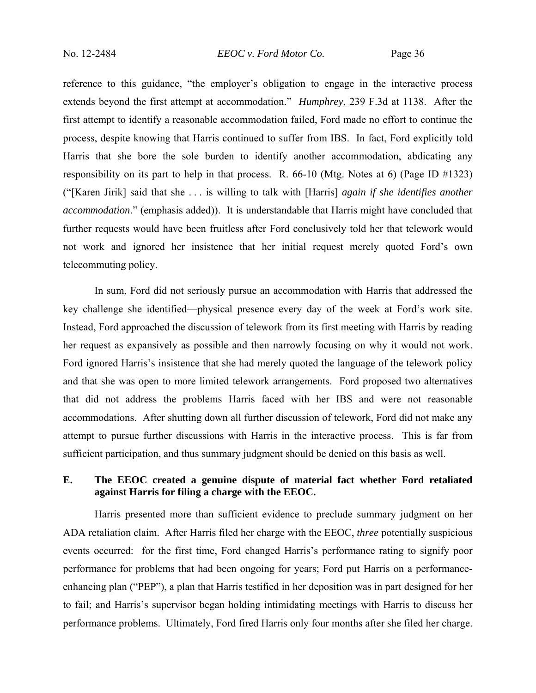reference to this guidance, "the employer's obligation to engage in the interactive process extends beyond the first attempt at accommodation." *Humphrey*, 239 F.3d at 1138. After the first attempt to identify a reasonable accommodation failed, Ford made no effort to continue the process, despite knowing that Harris continued to suffer from IBS. In fact, Ford explicitly told Harris that she bore the sole burden to identify another accommodation, abdicating any responsibility on its part to help in that process. R. 66-10 (Mtg. Notes at 6) (Page ID #1323) ("[Karen Jirik] said that she . . . is willing to talk with [Harris] *again if she identifies another accommodation*." (emphasis added)). It is understandable that Harris might have concluded that further requests would have been fruitless after Ford conclusively told her that telework would not work and ignored her insistence that her initial request merely quoted Ford's own telecommuting policy.

 In sum, Ford did not seriously pursue an accommodation with Harris that addressed the key challenge she identified—physical presence every day of the week at Ford's work site. Instead, Ford approached the discussion of telework from its first meeting with Harris by reading her request as expansively as possible and then narrowly focusing on why it would not work. Ford ignored Harris's insistence that she had merely quoted the language of the telework policy and that she was open to more limited telework arrangements. Ford proposed two alternatives that did not address the problems Harris faced with her IBS and were not reasonable accommodations. After shutting down all further discussion of telework, Ford did not make any attempt to pursue further discussions with Harris in the interactive process. This is far from sufficient participation, and thus summary judgment should be denied on this basis as well.

## **E. The EEOC created a genuine dispute of material fact whether Ford retaliated against Harris for filing a charge with the EEOC.**

Harris presented more than sufficient evidence to preclude summary judgment on her ADA retaliation claim. After Harris filed her charge with the EEOC, *three* potentially suspicious events occurred: for the first time, Ford changed Harris's performance rating to signify poor performance for problems that had been ongoing for years; Ford put Harris on a performanceenhancing plan ("PEP"), a plan that Harris testified in her deposition was in part designed for her to fail; and Harris's supervisor began holding intimidating meetings with Harris to discuss her performance problems. Ultimately, Ford fired Harris only four months after she filed her charge.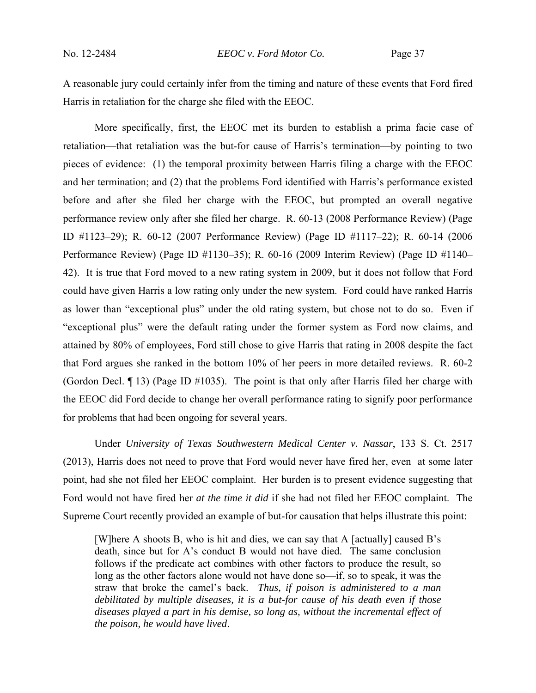A reasonable jury could certainly infer from the timing and nature of these events that Ford fired Harris in retaliation for the charge she filed with the EEOC.

 More specifically, first, the EEOC met its burden to establish a prima facie case of retaliation—that retaliation was the but-for cause of Harris's termination—by pointing to two pieces of evidence: (1) the temporal proximity between Harris filing a charge with the EEOC and her termination; and (2) that the problems Ford identified with Harris's performance existed before and after she filed her charge with the EEOC, but prompted an overall negative performance review only after she filed her charge. R. 60-13 (2008 Performance Review) (Page ID #1123–29); R. 60-12 (2007 Performance Review) (Page ID #1117–22); R. 60-14 (2006 Performance Review) (Page ID #1130–35); R. 60-16 (2009 Interim Review) (Page ID #1140– 42). It is true that Ford moved to a new rating system in 2009, but it does not follow that Ford could have given Harris a low rating only under the new system. Ford could have ranked Harris as lower than "exceptional plus" under the old rating system, but chose not to do so. Even if "exceptional plus" were the default rating under the former system as Ford now claims, and attained by 80% of employees, Ford still chose to give Harris that rating in 2008 despite the fact that Ford argues she ranked in the bottom 10% of her peers in more detailed reviews. R. 60-2 (Gordon Decl. ¶ 13) (Page ID #1035). The point is that only after Harris filed her charge with the EEOC did Ford decide to change her overall performance rating to signify poor performance for problems that had been ongoing for several years.

Under *University of Texas Southwestern Medical Center v. Nassar*, 133 S. Ct. 2517 (2013), Harris does not need to prove that Ford would never have fired her, even at some later point, had she not filed her EEOC complaint. Her burden is to present evidence suggesting that Ford would not have fired her *at the time it did* if she had not filed her EEOC complaint. The Supreme Court recently provided an example of but-for causation that helps illustrate this point:

[W]here A shoots B, who is hit and dies, we can say that A [actually] caused B's death, since but for A's conduct B would not have died. The same conclusion follows if the predicate act combines with other factors to produce the result, so long as the other factors alone would not have done so—if, so to speak, it was the straw that broke the camel's back. *Thus, if poison is administered to a man debilitated by multiple diseases, it is a but-for cause of his death even if those diseases played a part in his demise, so long as, without the incremental effect of the poison, he would have lived*.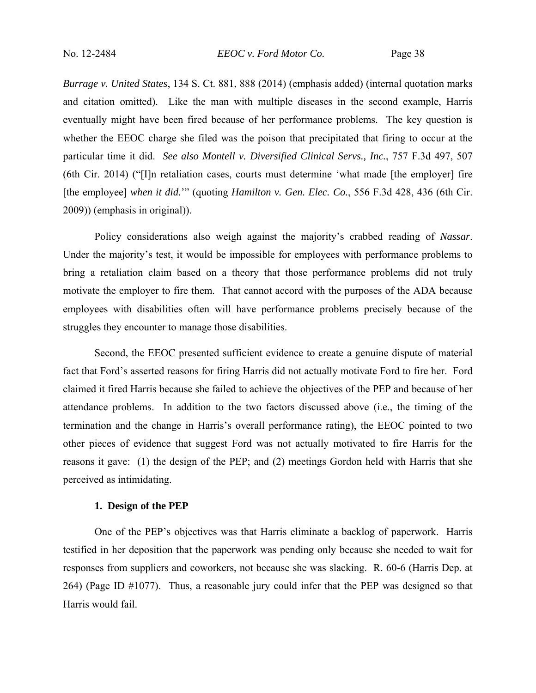*Burrage v. United States*, 134 S. Ct. 881, 888 (2014) (emphasis added) (internal quotation marks and citation omitted). Like the man with multiple diseases in the second example, Harris eventually might have been fired because of her performance problems. The key question is whether the EEOC charge she filed was the poison that precipitated that firing to occur at the particular time it did. *See also Montell v. Diversified Clinical Servs., Inc.*, 757 F.3d 497, 507 (6th Cir. 2014) ("[I]n retaliation cases, courts must determine 'what made [the employer] fire [the employee] *when it did.*'" (quoting *Hamilton v. Gen. Elec. Co.*, 556 F.3d 428, 436 (6th Cir. 2009)) (emphasis in original)).

Policy considerations also weigh against the majority's crabbed reading of *Nassar*. Under the majority's test, it would be impossible for employees with performance problems to bring a retaliation claim based on a theory that those performance problems did not truly motivate the employer to fire them. That cannot accord with the purposes of the ADA because employees with disabilities often will have performance problems precisely because of the struggles they encounter to manage those disabilities.

Second, the EEOC presented sufficient evidence to create a genuine dispute of material fact that Ford's asserted reasons for firing Harris did not actually motivate Ford to fire her. Ford claimed it fired Harris because she failed to achieve the objectives of the PEP and because of her attendance problems. In addition to the two factors discussed above (i.e., the timing of the termination and the change in Harris's overall performance rating), the EEOC pointed to two other pieces of evidence that suggest Ford was not actually motivated to fire Harris for the reasons it gave: (1) the design of the PEP; and (2) meetings Gordon held with Harris that she perceived as intimidating.

## **1. Design of the PEP**

One of the PEP's objectives was that Harris eliminate a backlog of paperwork. Harris testified in her deposition that the paperwork was pending only because she needed to wait for responses from suppliers and coworkers, not because she was slacking. R. 60-6 (Harris Dep. at 264) (Page ID #1077). Thus, a reasonable jury could infer that the PEP was designed so that Harris would fail.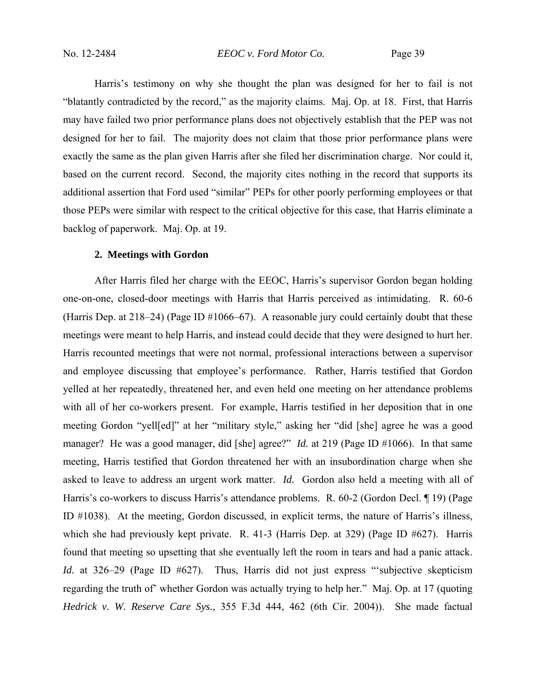Harris's testimony on why she thought the plan was designed for her to fail is not "blatantly contradicted by the record," as the majority claims. Maj. Op. at 18. First, that Harris may have failed two prior performance plans does not objectively establish that the PEP was not designed for her to fail. The majority does not claim that those prior performance plans were exactly the same as the plan given Harris after she filed her discrimination charge. Nor could it, based on the current record. Second, the majority cites nothing in the record that supports its additional assertion that Ford used "similar" PEPs for other poorly performing employees or that those PEPs were similar with respect to the critical objective for this case, that Harris eliminate a backlog of paperwork. Maj. Op. at 19.

#### **2. Meetings with Gordon**

After Harris filed her charge with the EEOC, Harris's supervisor Gordon began holding one-on-one, closed-door meetings with Harris that Harris perceived as intimidating. R. 60-6 (Harris Dep. at 218–24) (Page ID #1066–67). A reasonable jury could certainly doubt that these meetings were meant to help Harris, and instead could decide that they were designed to hurt her. Harris recounted meetings that were not normal, professional interactions between a supervisor and employee discussing that employee's performance. Rather, Harris testified that Gordon yelled at her repeatedly, threatened her, and even held one meeting on her attendance problems with all of her co-workers present. For example, Harris testified in her deposition that in one meeting Gordon "yell[ed]" at her "military style," asking her "did [she] agree he was a good manager? He was a good manager, did [she] agree?" *Id.* at 219 (Page ID #1066). In that same meeting, Harris testified that Gordon threatened her with an insubordination charge when she asked to leave to address an urgent work matter. *Id.* Gordon also held a meeting with all of Harris's co-workers to discuss Harris's attendance problems. R. 60-2 (Gordon Decl. ¶ 19) (Page ID #1038). At the meeting, Gordon discussed, in explicit terms, the nature of Harris's illness, which she had previously kept private. R. 41-3 (Harris Dep. at 329) (Page ID #627). Harris found that meeting so upsetting that she eventually left the room in tears and had a panic attack. *Id.* at 326–29 (Page ID #627). Thus, Harris did not just express "subjective skepticism regarding the truth of' whether Gordon was actually trying to help her." Maj. Op. at 17 (quoting *Hedrick v. W. Reserve Care Sys.*, 355 F.3d 444, 462 (6th Cir. 2004)). She made factual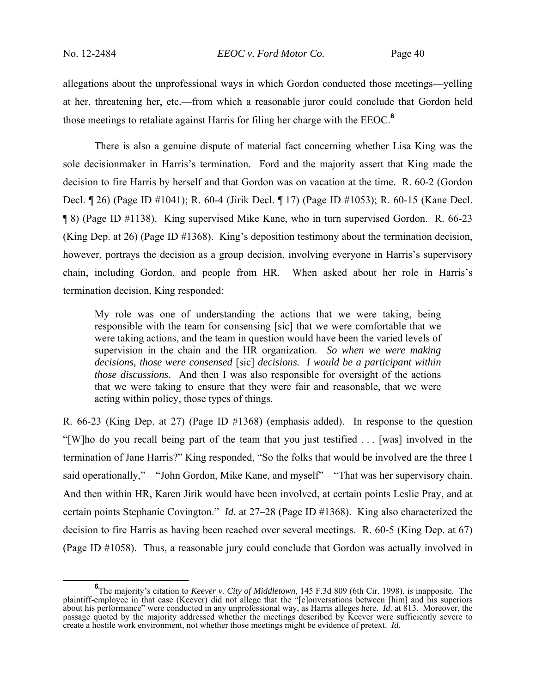allegations about the unprofessional ways in which Gordon conducted those meetings—yelling at her, threatening her, etc.—from which a reasonable juror could conclude that Gordon held those meetings to retaliate against Harris for filing her charge with the EEOC.**<sup>6</sup>**

There is also a genuine dispute of material fact concerning whether Lisa King was the sole decisionmaker in Harris's termination. Ford and the majority assert that King made the decision to fire Harris by herself and that Gordon was on vacation at the time. R. 60-2 (Gordon Decl. ¶ 26) (Page ID #1041); R. 60-4 (Jirik Decl. ¶ 17) (Page ID #1053); R. 60-15 (Kane Decl. ¶ 8) (Page ID #1138). King supervised Mike Kane, who in turn supervised Gordon. R. 66-23 (King Dep. at 26) (Page ID #1368). King's deposition testimony about the termination decision, however, portrays the decision as a group decision, involving everyone in Harris's supervisory chain, including Gordon, and people from HR. When asked about her role in Harris's termination decision, King responded:

My role was one of understanding the actions that we were taking, being responsible with the team for consensing [sic] that we were comfortable that we were taking actions, and the team in question would have been the varied levels of supervision in the chain and the HR organization. *So when we were making decisions, those were consensed* [sic] *decisions. I would be a participant within those discussions*. And then I was also responsible for oversight of the actions that we were taking to ensure that they were fair and reasonable, that we were acting within policy, those types of things.

R. 66-23 (King Dep. at 27) (Page ID #1368) (emphasis added). In response to the question "[W]ho do you recall being part of the team that you just testified . . . [was] involved in the termination of Jane Harris?" King responded, "So the folks that would be involved are the three I said operationally,"—"John Gordon, Mike Kane, and myself"—"That was her supervisory chain. And then within HR, Karen Jirik would have been involved, at certain points Leslie Pray, and at certain points Stephanie Covington." *Id.* at 27–28 (Page ID #1368).King also characterized the decision to fire Harris as having been reached over several meetings. R. 60-5 (King Dep. at 67) (Page ID #1058). Thus, a reasonable jury could conclude that Gordon was actually involved in

<sup>&</sup>lt;sup>6</sup>The majority's citation to *Keever v. City of Middletown*, 145 F.3d 809 (6th Cir. 1998), is inapposite. The plaintiff-employee in that case (Keever) did not allege that the "[c]onversations between [him] and his superiors about his performance" were conducted in any unprofessional way, as Harris alleges here. *Id.* at 813. Moreover, the passage quoted by the majority addressed whether the meetings described by Keever were sufficiently severe to create a hostile work environment, not whether those meetings might be evidence of pretext. *Id.*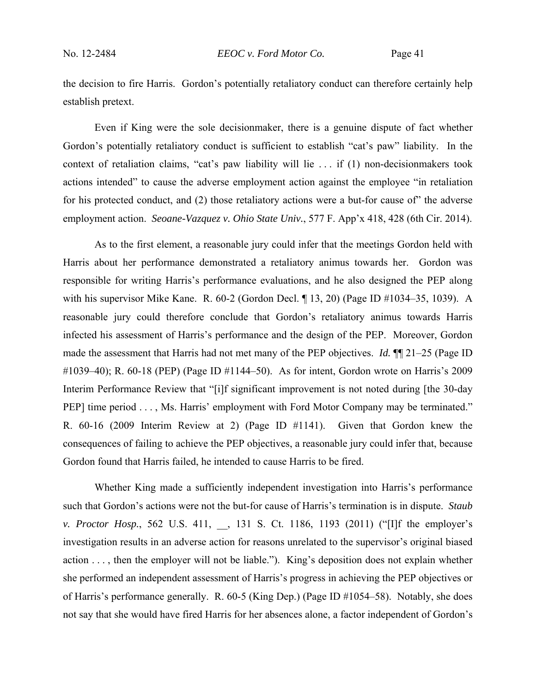the decision to fire Harris. Gordon's potentially retaliatory conduct can therefore certainly help establish pretext.

Even if King were the sole decisionmaker, there is a genuine dispute of fact whether Gordon's potentially retaliatory conduct is sufficient to establish "cat's paw" liability. In the context of retaliation claims, "cat's paw liability will lie . . . if (1) non-decisionmakers took actions intended" to cause the adverse employment action against the employee "in retaliation for his protected conduct, and (2) those retaliatory actions were a but-for cause of" the adverse employment action. *Seoane-Vazquez v. Ohio State Univ.*, 577 F. App'x 418, 428 (6th Cir. 2014).

As to the first element, a reasonable jury could infer that the meetings Gordon held with Harris about her performance demonstrated a retaliatory animus towards her. Gordon was responsible for writing Harris's performance evaluations, and he also designed the PEP along with his supervisor Mike Kane. R. 60-2 (Gordon Decl. ¶ 13, 20) (Page ID #1034–35, 1039). A reasonable jury could therefore conclude that Gordon's retaliatory animus towards Harris infected his assessment of Harris's performance and the design of the PEP. Moreover, Gordon made the assessment that Harris had not met many of the PEP objectives. *Id.* ¶¶ 21–25 (Page ID #1039–40); R. 60-18 (PEP) (Page ID #1144–50). As for intent, Gordon wrote on Harris's 2009 Interim Performance Review that "[i]f significant improvement is not noted during [the 30-day PEP] time period . . . , Ms. Harris' employment with Ford Motor Company may be terminated." R. 60-16 (2009 Interim Review at 2) (Page ID #1141). Given that Gordon knew the consequences of failing to achieve the PEP objectives, a reasonable jury could infer that, because Gordon found that Harris failed, he intended to cause Harris to be fired.

Whether King made a sufficiently independent investigation into Harris's performance such that Gordon's actions were not the but-for cause of Harris's termination is in dispute. *Staub v. Proctor Hosp.*, 562 U.S. 411, ., 131 S. Ct. 1186, 1193 (2011) ("[I]f the employer's investigation results in an adverse action for reasons unrelated to the supervisor's original biased action . . . , then the employer will not be liable."). King's deposition does not explain whether she performed an independent assessment of Harris's progress in achieving the PEP objectives or of Harris's performance generally. R. 60-5 (King Dep.) (Page ID #1054–58). Notably, she does not say that she would have fired Harris for her absences alone, a factor independent of Gordon's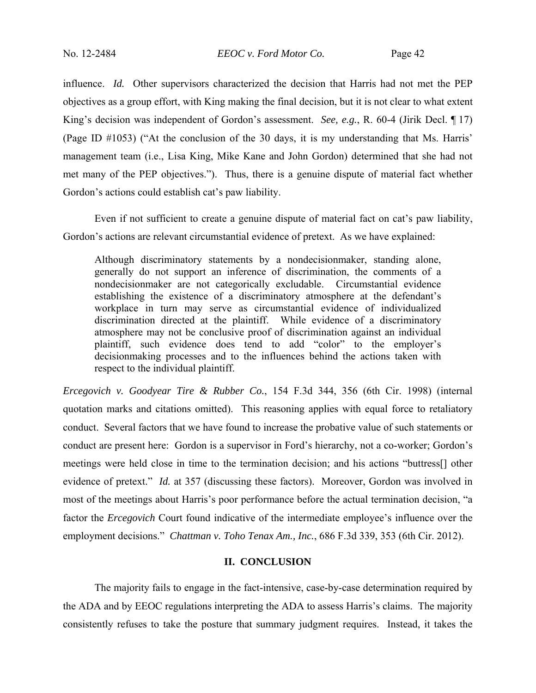influence. *Id.* Other supervisors characterized the decision that Harris had not met the PEP objectives as a group effort, with King making the final decision, but it is not clear to what extent King's decision was independent of Gordon's assessment. *See, e.g.*, R. 60-4 (Jirik Decl. ¶ 17) (Page ID #1053) ("At the conclusion of the 30 days, it is my understanding that Ms. Harris' management team (i.e., Lisa King, Mike Kane and John Gordon) determined that she had not met many of the PEP objectives."). Thus, there is a genuine dispute of material fact whether Gordon's actions could establish cat's paw liability.

Even if not sufficient to create a genuine dispute of material fact on cat's paw liability, Gordon's actions are relevant circumstantial evidence of pretext. As we have explained:

Although discriminatory statements by a nondecisionmaker, standing alone, generally do not support an inference of discrimination, the comments of a nondecisionmaker are not categorically excludable. Circumstantial evidence establishing the existence of a discriminatory atmosphere at the defendant's workplace in turn may serve as circumstantial evidence of individualized discrimination directed at the plaintiff. While evidence of a discriminatory atmosphere may not be conclusive proof of discrimination against an individual plaintiff, such evidence does tend to add "color" to the employer's decisionmaking processes and to the influences behind the actions taken with respect to the individual plaintiff.

*Ercegovich v. Goodyear Tire & Rubber Co.*, 154 F.3d 344, 356 (6th Cir. 1998) (internal quotation marks and citations omitted). This reasoning applies with equal force to retaliatory conduct. Several factors that we have found to increase the probative value of such statements or conduct are present here: Gordon is a supervisor in Ford's hierarchy, not a co-worker; Gordon's meetings were held close in time to the termination decision; and his actions "buttress[] other evidence of pretext." *Id.* at 357 (discussing these factors). Moreover, Gordon was involved in most of the meetings about Harris's poor performance before the actual termination decision, "a factor the *Ercegovich* Court found indicative of the intermediate employee's influence over the employment decisions." *Chattman v. Toho Tenax Am., Inc.*, 686 F.3d 339, 353 (6th Cir. 2012).

## **II. CONCLUSION**

The majority fails to engage in the fact-intensive, case-by-case determination required by the ADA and by EEOC regulations interpreting the ADA to assess Harris's claims. The majority consistently refuses to take the posture that summary judgment requires. Instead, it takes the